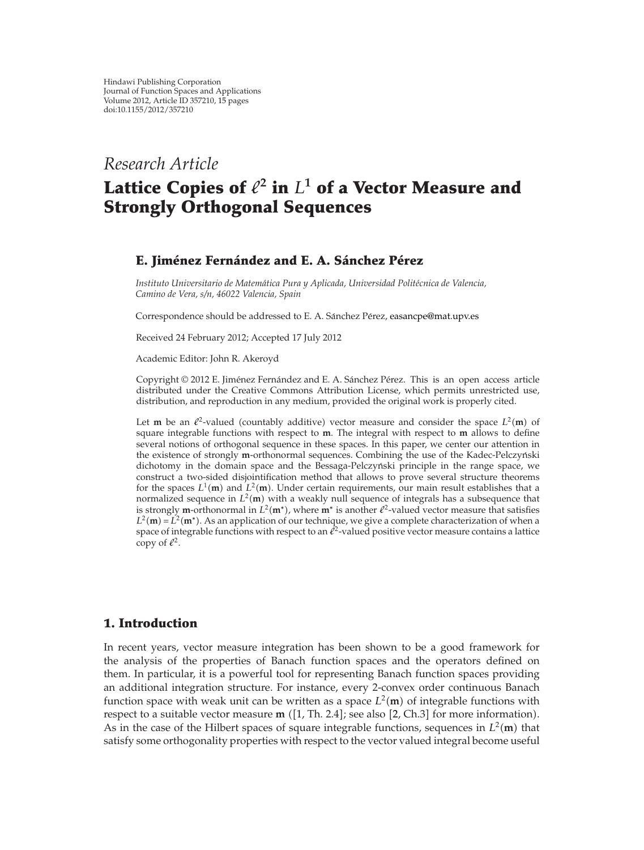*Research Article*

# Lattice Copies of  $\ell^2$  in  $L^1$  of a Vector Measure and **Strongly Orthogonal Sequences**

## **E. Jimenez Fern ´ andez and E. A. S ´ anchez P ´ erez ´**

*Instituto Universitario de Matematica Pura y Aplicada, Universidad Polit ´ ecnica de Valencia, ´ Camino de Vera, s/n, 46022 Valencia, Spain*

Correspondence should be addressed to E. A. Sánchez Pérez, easancpe@mat.upv.es

Received 24 February 2012; Accepted 17 July 2012

Academic Editor: John R. Akeroyd

Copyright © 2012 E. Jiménez Fernández and E. A. Sánchez Pérez. This is an open access article distributed under the Creative Commons Attribution License, which permits unrestricted use, distribution, and reproduction in any medium, provided the original work is properly cited.

Let **m** be an  $\ell^2$ -valued (countably additive) vector measure and consider the space  $L^2(\mathbf{m})$  of square integrable functions with respect to **m**. The integral with respect to **m** allows to define square integrable functions with respect to **m**. The integral with respect to **m** allows to define several notions of orthogonal sequence in these spaces. In this paper, we center our attention in the existence of strongly **m**-orthonormal sequences. Combining the use of the Kadec-Pelczynski dichotomy in the domain space and the Bessaga-Pelczyński principle in the range space, we construct a two-sided disjointification method that allows to prove several structure theorems for the spaces  $L^1(\mathbf{m})$  and  $L^2(\mathbf{m})$ . Under certain requirements, our main result establishes that a<br>pormalized sequence in  $L^2(\mathbf{m})$  with a weakly pull sequence of integrals has a subsequence that normalized sequence in  $L^2(\mathbf{m})$  with a weakly null sequence of integrals has a subsequence that<br>is strongly **m**-orthonormal in  $L^2(\mathbf{m}^*)$ , where  $\mathbf{m}^*$  is another  $l^2$ -valued vector measure that satisfies is strongly **m**-orthonormal in  $L^2(\mathbf{m}^*)$ , where  $\mathbf{m}^*$  is another  $\ell^2$ -valued vector measure that satisfies  $L^2(\mathbf{m}) - L^2(\mathbf{m}^*)$ . As an application of our technique, we give a complete characterization of whe  $L^2(\mathbf{m}) = L^2(\mathbf{m}^*)$ . As an application of our technique, we give a complete characterization of when a space of integrable functions with respect to an  $l^2$ -valued positive vector measure contains a lattice space of integrable functions with respect to an  $\ell^2$ -valued positive vector measure contains a lattice copy of  $\ell^2$ .

### **1. Introduction**

In recent years, vector measure integration has been shown to be a good framework for the analysis of the properties of Banach function spaces and the operators defined on them. In particular, it is a powerful tool for representing Banach function spaces providing an additional integration structure. For instance, every 2-convex order continuous Banach function space with weak unit can be written as a space  $L^2(\mathbf{m})$  of integrable functions with respect to a suitable vector measure  $\mathbf{m}$  ([1] The 2.4] see also [2] Ch 3] for more information) respect to a suitable vector measure **m** ([1, Th. 2.4]; see also [2, Ch.3] for more information).<br>As in the case of the Hilbert spaces of square integrable functions, sequences in  $L^2(\mathbf{m})$  that As in the case of the Hilbert spaces of square integrable functions, sequences in  $L^2(\mathbf{m})$  that satisfy some orthogonality properties with respect to the vector valued integral become useful satisfy some orthogonality properties with respect to the vector valued integral become useful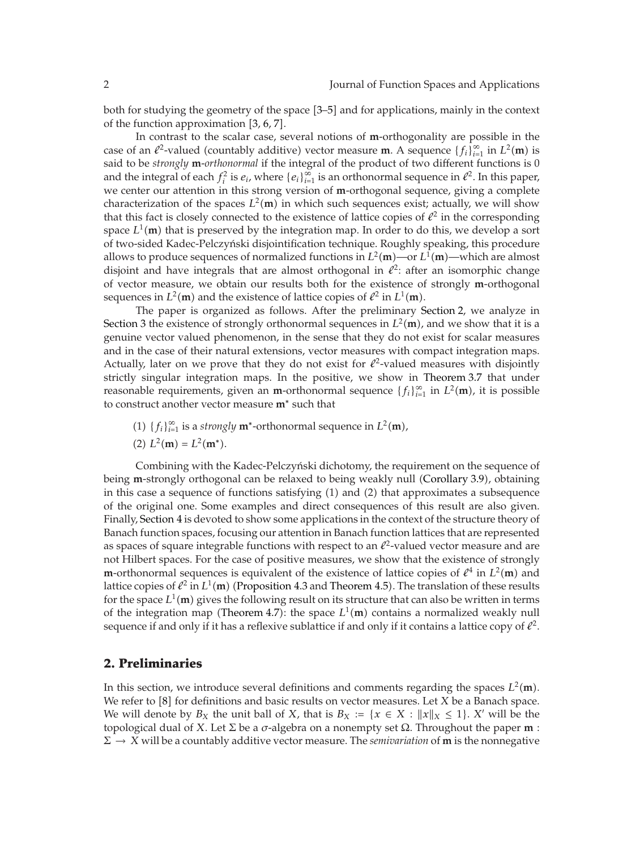both for studying the geometry of the space [3–5] and for applications, mainly in the context of the function approximation  $[3, 6, 7]$ .

In contrast to the scalar case, several notions of **m**-orthogonality are possible in the case of an  $\ell^2$ -valued (countably additive) vector measure **m**. A sequence  $\{f_i\}_{i=1}^{\infty}$  in  $L^2(\mathbf{m})$  is said to be *strongly* **m**-*orthonormal* if the integral of the product of two different functions is 0 and the integral of each  $f_i^2$  is  $e_i$ , where  $\{e_i\}_{i=1}^{\infty}$  is an orthonormal sequence in  $\ell^2$ . In this paper, we center our attention in this strong version of **m**-orthogonal sequence, giving a complete characterization of the spaces  $L^2(\mathbf{m})$  in which such sequences exist; actually, we will show<br>that this fact is closely connected to the existence of lattice conjes of  $\ell^2$  in the corresponding that this fact is closely connected to the existence of lattice copies of  $\ell^2$  in the corresponding space  $L^1(\mathbf{m})$  that is preserved by the integration map. In order to do this, we develop a sort of two-sided Kadee-Pelezyński disjointification technique. Boughly speaking this procedure of two-sided Kadec-Pelczyński disjointification technique. Roughly speaking, this procedure allows to produce sequences of normalized functions in  $L^2(\mathbf{m})$ —or  $L^1(\mathbf{m})$ —which are almost<br>disjoint and have integrals that are almost orthogonal in  $l^2$  after an isomorphic change disjoint and have integrals that are almost orthogonal in  $l^2$ : after an isomorphic change of vector measure, we obtain our results both for the existence of strongly **m**-orthogonal sequences in  $L^2(\mathbf{m})$  and the existence of lattice copies of  $\ell^2$  in  $L^1(\mathbf{m})$ .<br>The paper is examized as follows. After the proliminary S

The paper is organized as follows. After the preliminary Section 2, we analyze in Section 3 the existence of strongly orthonormal sequences in  $L^2(\mathbf{m})$ , and we show that it is a convine yester valued phenomenon in the sense that they do not exist for scalar measures genuine vector valued phenomenon, in the sense that they do not exist for scalar measures and in the case of their natural extensions, vector measures with compact integration maps. Actually, later on we prove that they do not exist for  $\ell^2$ -valued measures with disjointly strictly singular integration maps. In the positive, we show in Theorem 3.7 that under reasonable requirements, given an **m**-orthonormal sequence  $\{f_i\}_{i=1}^{\infty}$  in  $L^2(\mathbf{m})$ , it is possible to construct another vector measure  $\mathbf{m}^*$  such that to construct another vector measure **m**<sup>∗</sup> such that

- (1)  ${f_i}_{i=1}^{\infty}$  is a *strongly* **m<sup>∗</sup>-orthonormal sequence in** *L***<sup>2</sup>(<b>m**),
- (2)  $L^2(\mathbf{m}) = L^2(\mathbf{m}^*).$

Combining with the Kadec-Pelczyński dichotomy, the requirement on the sequence of being **m**-strongly orthogonal can be relaxed to being weakly null (Corollary 3.9), obtaining<br>in this case a sequence of functions satisfying (1) and (2) that approximates a subsequence in this case a sequence of functions satisfying (1) and (2) that approximates a subsequence of the original one. Some examples and direct consequences of this result are also given. Finally, Section 4 is devoted to show some applications in the context of the structure theory of Banach function spaces, focusing our attention in Banach function lattices that are represented as spaces of square integrable functions with respect to an  $\ell^2$ -valued vector measure and are not Hilbert spaces. For the case of positive measures, we show that the existence of strongly **m**-orthonormal sequences is equivalent of the existence of lattice copies of  $\ell^4$  in  $L^2(\mathbf{m})$  and lattice copies of  $\ell^2$  in  $L^1(\mathbf{m})$  (Proposition 4.3 and Theorem 4.5). The translation of these results lattice copies of  $\ell^2$  in  $L^1(\mathbf{m})$  (Proposition 4.3 and Theorem 4.5). The translation of these results<br>for the space  $L^1(\mathbf{m})$  gives the following result on its structure that can also be written in terms for the space  $L^1(\mathbf{m})$  gives the following result on its structure that can also be written in terms of the integration map (Theorem 4.7); the space  $L^1(\mathbf{m})$  contains a permalized weakly pull of the integration map (Theorem 4.7): the space  $L^1(\mathbf{m})$  contains a normalized weakly null<br>sequence if and only if it has a reflexive sublattice if and only if it contains a lattice copy of  $\ell^2$ sequence if and only if it has a reflexive sublattice if and only if it contains a lattice copy of  $\ell^2$ .

## **2. Preliminaries**

In this section, we introduce several definitions and comments regarding the spaces  $L^2(\mathbf{m})$ .<br>We refer to [8] for definitions and basic results on vector measures *L* et *X* be a Banach space. We refer to [8] for definitions and basic results on vector measures. Let *X* be a Banach space. We will denote by  $B_X$  the unit ball of X, that is  $B_X := \{x \in X : ||x||_X \le 1\}$ . *X'* will be the topological dual of *<sup>X</sup>*. Let <sup>Σ</sup> be a *<sup>σ</sup>*-algebra on a nonempty set <sup>Ω</sup>. Throughout the paper **m** :  $\Sigma \rightarrow X$  will be a countably additive vector measure. The *semivariation* of **m** is the nonnegative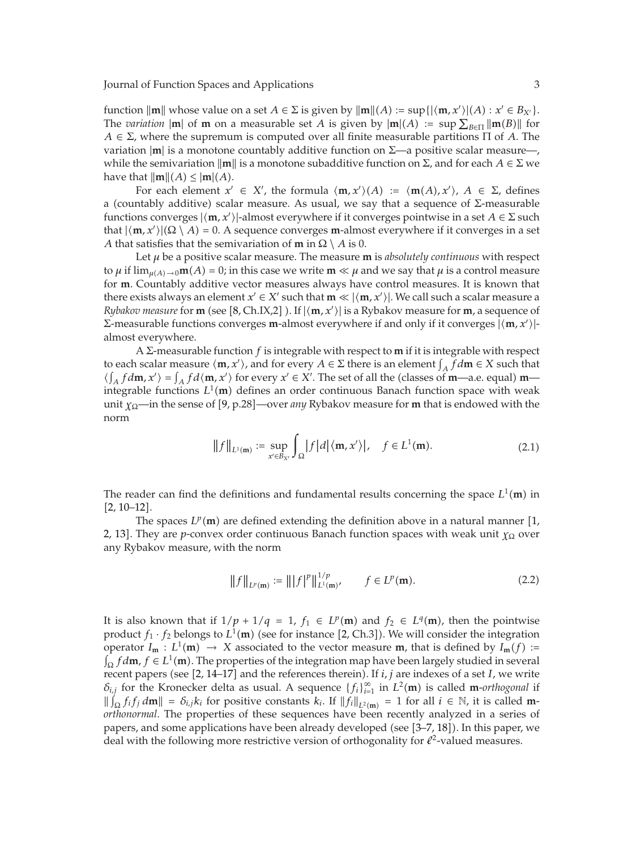function  $\|\mathbf{m}\|$  whose value on a set  $A \in \Sigma$  is given by  $\|\mathbf{m}\|(A) := \sup\{|\langle \mathbf{m}, x' \rangle|(A) : x' \in B_{X'}\}.$ <br>The *variation*  $\|\mathbf{m}\|$  of  $\mathbf{m}$  on a moasurable set *A* is given by  $\|\mathbf{m}(A) := \sup_{\Sigma} \sum_{\|\mathbf{m}(B)\| \leq \Sigma} \|\mathbf{$ The *variation*  $|\mathbf{m}|$  of **m** on a measurable set *A* is given by  $|\mathbf{m}|(A) := \sup \sum_{B \in \Pi} ||\mathbf{m}(B)||$  for  $A \in \Sigma$  where the surromum is computed over all finite measurable partitions  $\Pi$  of *A*. The  $A \in \Sigma$ , where the supremum is computed over all finite measurable partitions  $\Pi$  of A. The variation  $|\mathbf{m}|$  is a monotone countably additive function on  $\Sigma$ —a positive scalar measure—, while the semivariation  $\|\mathbf{m}\|$  is a monotone subadditive function on Σ, and for each *A*  $\in$  Σ we have that  $\|\mathbf{m}\|(A) \leq |\mathbf{m}|(A)$ .<br>For each element  $\mathbf{x}'$ 

For each element  $x' \in X'$ , the formula  $\langle m, x' \rangle (A) := \langle m(A), x' \rangle$ ,  $A \in \Sigma$ , defines a (countably additive) scalar measure. As usual, we say that a sequence of  $\Sigma$ -measurable functions converges  $|\langle \mathbf{m}, x' \rangle|$ -almost everywhere if it converges pointwise in a set  $A \in \Sigma$  such that  $|\langle \mathbf{m}, x' \rangle|$ (Q), 4) = 0. A sequence converges m-almost everywhere if it converges in a set that  $|\langle \mathbf{m}, x' \rangle|(\Omega \setminus A) = 0$ . A sequence converges **m**-almost everywhere if it converges in a set <br>A that satisfies that the semivariation of **m** in  $\Omega \setminus A$  is 0. *A* that satisfies that the semivariation of **m** in  $\Omega \setminus A$  is 0.

Let *<sup>μ</sup>* be a positive scalar measure. The measure **m** is *absolutely continuous* with respect to  $\mu$  if  $\lim_{\mu(A) \to 0}$ **m**(A) = 0; in this case we write **m**  $\ll \mu$  and we say that  $\mu$  is a control measure for **m**. Countably additive vector measures always have control measures. It is known that for **m**. Countably additive vector measures always have control measures. It is known that there exists always an element  $x' \in X'$  such that  $\mathbf{m} \ll |\langle \mathbf{m}, x' \rangle|$ . We call such a scalar measure a<br>Buhakay measure for  $\mathbf{m}$  (soo [8, Cb IX 2]). If  $|\langle \mathbf{m} | x' \rangle|$  is a Byhakoy measure for  $\mathbf{m}$ , a sequence *Rybakov measure* for **m** (see [8, Ch.IX,2]). If  $|\langle \mathbf{m}, x' \rangle|$  is a Rybakov measure for **m**, a sequence of  $\sum_{n=1}^{\infty}$  *maximum set overwards* if and only if it converges  $|\mathbf{m} x' \rangle$ Σ-measurable functions converges **m**-almost everywhere if and only if it converges  $|$   $\langle$ **m***, x'* $\rangle$ |-<br>almost everywhere almost everywhere.

<sup>A</sup> <sup>Σ</sup>-measurable function *<sup>f</sup>* is integrable with respect to **m** if it is integrable with respect to each scalar measure  $\langle \mathbf{m}, x' \rangle$ , and for every  $A \in \Sigma$  there is an element  $\int_A f d\mathbf{m} \in X$  such that  $\langle \int f d\mathbf{m}, x' \rangle = \int f d\mathbf{m}, x' \rangle$  for every  $x' \in X'$ . The set of all the (classes of  $\mathbf{m}$ , a.e. equal)  $\mathbf{m$  $\langle \int_A f d\mathbf{m}, x' \rangle = \int_A f d\langle \mathbf{m}, x' \rangle$  for every  $x' \in X'$ . The set of all the (classes of **m**—a.e. equal) **m—**<br>integrable functions  $I^1(\mathbf{m})$  defines an order continuous Banach function space with weak integrable functions  $L^1(\mathbf{m})$  defines an order continuous Banach function space with weak<br>unit yo—in the sonse of [9, p.28]—over any Bybakov measure for **m** that is endowed with the unit *<sup>χ</sup>*Ω—in the sense of 9, p.28—over *any* Rybakov measure for **<sup>m</sup>** that is endowed with the norm

$$
||f||_{L^1(\mathbf{m})} := \sup_{x' \in B_{X'}} \int_{\Omega} |f| d|\langle \mathbf{m}, x' \rangle|, \quad f \in L^1(\mathbf{m}). \tag{2.1}
$$

The reader can find the definitions and fundamental results concerning the space  $L^1(\mathbf{m})$  in  $\mathbf{L}^1(\mathbf{m})$  and  $\mathbf{L}^1(\mathbf{m})$  in  $[2, 10-12]$ .

The spaces  $L^p(\mathbf{m})$  are defined extending the definition above in a natural manner  $[1]$ , Thoy are n-convoy order continuous Banach function spaces with wook unit ve over 2, 13. They are *p*-convex order continuous Banach function spaces with weak unit *χ*<sub>Ω</sub> over any Rybakov measure, with the norm

$$
||f||_{L^{p}(\mathbf{m})} := |||f|^{p}||_{L^{1}(\mathbf{m})}^{1/p}, \qquad f \in L^{p}(\mathbf{m}).
$$
\n(2.2)

It is also known that if  $1/p + 1/q = 1$ ,  $f_1 \in L^p(\mathbf{m})$  and  $f_2 \in L^q(\mathbf{m})$ , then the pointwise<br>product  $f_1, f_2$  belongs to  $L^1(\mathbf{m})$  (see for instance  $[2, Ch, 3]$ ). We will consider the integration product  $f_1 \cdot f_2$  belongs to  $L^1(\mathbf{m})$  (see for instance [2, Ch.3]). We will consider the integration operator  $I \cdot L^1(\mathbf{m}) \to X$  associated to the vector measure **m** that is defined by  $L(f) =$ operator  $I_m : L^1(m) \to X$  associated to the vector measure **m**, that is defined by  $I_m(f) :=$ <br> *f*  $\dim f \in L^1(m)$  The proporties of the integration map have been largely studied in several  $\int_{\Omega} f d\mathbf{m}$ ,  $f \in L^1(\mathbf{m})$ . The properties of the integration map have been largely studied in several procent papers (see [2, 14–17] and the references therein). If *i*, *i* are indexes of a set L we write recent papers (see  $[2, 14-17]$  and the references therein). If *i, j* are indexes of a set *I*, we write  $\delta_{i,j}$  for the Kronecker delta as usual. A sequence  $\{f_i\}_{i=1}^{\infty}$  in  $L^2(\mathbf{m})$  is called **m**-*orthogonal* if  $\|\int_{\Omega} f_i f_j d\mathbf{m}\| = \delta_{i,j} k_i$  for positive constants  $k_i$ . If  $\|f_i\|_{L^2(\mathbf{m})} = 1$  for all  $i \in \mathbb{N}$ , it is called m-<br>orthonormal. The properties of these sequences have been recently analyzed in a series of *orthonormal*. The properties of these sequences have been recently analyzed in a series of papers, and some applications have been already developed (see [3–7, 18]). In this paper, we deal with the following more restrictive version of orthogonality for  $l^2$ -valued measures.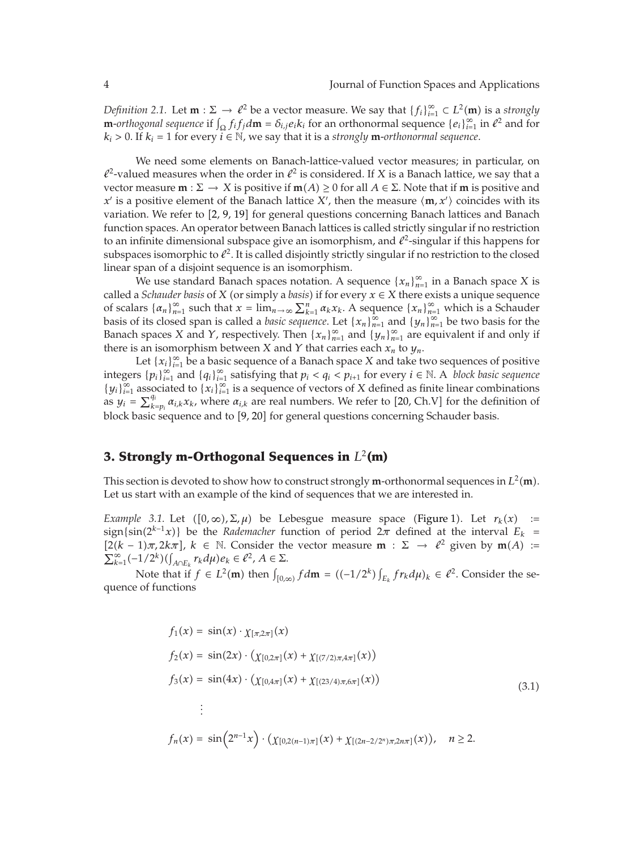*Definition 2.1.* Let  $\mathbf{m} : \Sigma \to \ell^2$  be a vector measure. We say that  $\{f_i\}_{i=1}^{\infty} \subset L^2(\mathbf{m})$  is a *strongly*<br>*m* orthogonal sequence if  $\int f_i f_j dm = \delta$ , gets for an orthonormal sequence  $\{g_i\}_{i=1}^{\infty}$  in  $\ell^2$  a **m**-*orthogonal sequence* if  $\int_{\Omega} f_i f_j d\mathbf{m} = \delta_{i,j} e_i k_i$  for an orthonormal sequence  $\{e_i\}_{i=1}^{\infty}$  in  $\ell^2$  and for  $k_i > 0$ . If  $k_i = 1$  for every  $i \in \mathbb{N}$ , we say that it is a *strongly* **m**-*orthonormal sequence*.

We need some elements on Banach-lattice-valued vector measures; in particular, on  $\ell^2$ -valued measures when the order in  $\ell^2$  is considered. If *X* is a Banach lattice, we say that a vector measure  $\mathbf{m} : \Sigma \to X$  is positive if  $\mathbf{m}(A) \ge 0$  for all  $A \in \Sigma$ . Note that if  $\mathbf{m}$  is positive and  $\mathbf{r}'$  is a positive element of the Banach lattice  $X'$ , then the measure  $\langle \mathbf{m}, \mathbf{r}' \rangle$  coincides w *x'* is a positive element of the Banach lattice *X'*, then the measure  $\langle \mathbf{m}, x' \rangle$  coincides with its variation. We refer to [2, 9, 19] for general questions concerning Banach lattices and Banach variation. We refer to [2, 9, 19] for general questions concerning Banach lattices and Banach function spaces. An operator between Banach lattices is called strictly singular if no restriction to an infinite dimensional subspace give an isomorphism, and  $\ell^2$ -singular if this happens for subspaces isomorphic to  $\ell^2$ . It is called disjointly strictly singular if no restriction to the closed linear span of a disjoint sequence is an isomorphism.

We use standard Banach spaces notation. A sequence  $\{x_n\}_{n=1}^{\infty}$  in a Banach space X is called a *Schauder basis* of *X* (or simply a *basis*) if for every  $x \in X$  there exists a unique sequence of scalars  $\{a_n\}_{n=1}^{\infty}$  such that  $x = \lim_{n \to \infty} \sum_{k=1}^{n} \alpha_k x_k$ . A sequence  $\{x_n\}_{n=1}^{\infty}$  which is a Schauder basis of its closed span is called a *basic sequence*. Let  $\{x_n\}_{n=1}^{\infty}$  and  $\{y_n\}_{n=1}^{\infty}$  be two basis for the Banach spaces *X* and *Y*, respectively. Then  $\{x_n\}_{n=1}^{\infty}$  and  $\{y_n\}_{n=1}^{\infty}$  are equivalent if and only if there is an isomorphism between *X* and *Y* that carries each  $x_n$  to  $y_n$ .

Let  $\{x_i\}_{i=1}^\infty$  be a basic sequence of a Banach space  $X$  and take two sequences of positive *integers*  ${p_i}_{i=1}^{\infty}$  and  ${q_i}_{i=1}^{\infty}$  satisfying that  $p_i < q_i < p_{i+1}$  for every  $i ∈ ℕ$ . A *block basic sequence*  ${y_i}_{i=1}^{\infty}$  associated to  ${x_i}_{i=1}^{\infty}$  is a sequence of vectors of *X* defined as finite linear combinations as  $y_i = \sum_{k_i}^{q_i}$ *u*<sup>*qi</sup> α<sub>i,k</sub>x<sub>k</sub>*, where *α*<sub>i,k</sub> are real numbers. We refer to [20, Ch.V] for the definition of</sup> block basic sequence and to [9, 20] for general questions concerning Schauder basis.

## **3. Strongly m-Orthogonal Sequences in** *L*<sup>2</sup>**(m)**

This section is devoted to show how to construct strongly **m**-orthonormal sequences in  $L^2(\mathbf{m})$ .<br>Let us start with an example of the kind of sequences that we are interested in Let us start with an example of the kind of sequences that we are interested in.

*Example 3.1.* Let  $([0, \infty), \Sigma, \mu)$  be Lebesgue measure space (Figure 1). Let  $r_k(x)$  :=  $\{\sin\left(\frac{2k-1}{x}\right)\}$  be the *Rademacher* function of period  $2\pi$  defined at the interval  $E_k =$  $[2(k-1)\pi, 2k\pi]$ ,  $k \in \mathbb{N}$ . Consider the vector measure **m** :  $\Sigma \to \ell^2$  given by **m**(*A*) :=<br> $\sum_{k=1}^{\infty}$  (-1/2<sup>k</sup>)((r) r, du)e,  $\in \ell^2$  A  $\in \Sigma$  $\sum_{k=1}^{\infty}(-1/2^{k})(\int_{A\cap E_{k}}r_{k}d\mu)e_{k}\in\ell^{2}, A\in\Sigma.$ 

Note that if  $f \in L^2(\mathbf{m})$  then  $\int_{[0,\infty)} f d\mathbf{m} = ((-1/2^k) \int_{E_k} fr_k d\mu)_k \in \ell^2$ . Consider the sequence of functions

$$
f_1(x) = \sin(x) \cdot \chi_{[\pi,2\pi]}(x)
$$
  
\n
$$
f_2(x) = \sin(2x) \cdot (\chi_{[0,2\pi]}(x) + \chi_{[(7/2)\pi,4\pi]}(x))
$$
  
\n
$$
f_3(x) = \sin(4x) \cdot (\chi_{[0,4\pi]}(x) + \chi_{[(23/4)\pi,6\pi]}(x))
$$
  
\n
$$
\vdots
$$
  
\n
$$
f_n(x) = \sin(2^{n-1}x) \cdot (\chi_{[0,2(n-1)\pi]}(x) + \chi_{[(2n-2/2^n)\pi,2n\pi]}(x)), \quad n \ge 2.
$$
\n(3.1)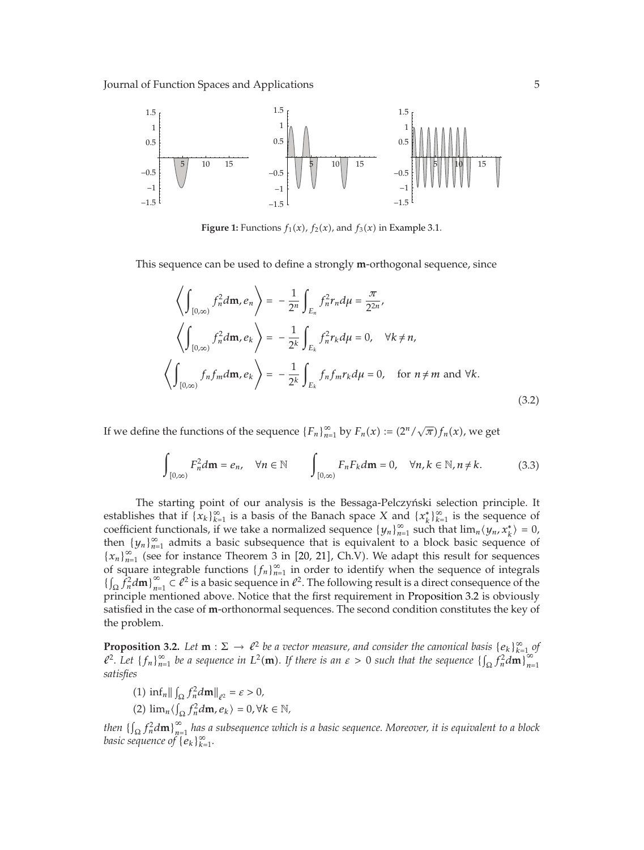

**Figure 1:** Functions  $f_1(x)$ ,  $f_2(x)$ , and  $f_3(x)$  in Example 3.1.

This sequence can be used to define a strongly **m**-orthogonal sequence, since

$$
\left\langle \int_{[0,\infty)} f_n^2 d\mathbf{m}, e_n \right\rangle = -\frac{1}{2^n} \int_{E_n} f_n^2 r_n d\mu = \frac{\pi}{2^{2n}},
$$
  

$$
\left\langle \int_{[0,\infty)} f_n^2 d\mathbf{m}, e_k \right\rangle = -\frac{1}{2^k} \int_{E_k} f_n^2 r_k d\mu = 0, \quad \forall k \neq n,
$$
  

$$
\left\langle \int_{[0,\infty)} f_n f_m d\mathbf{m}, e_k \right\rangle = -\frac{1}{2^k} \int_{E_k} f_n f_m r_k d\mu = 0, \quad \text{for } n \neq m \text{ and } \forall k.
$$
  
(3.2)

If we define the functions of the sequence  ${F_n}_{n=1}^{\infty}$  by  $F_n(x) := (2^n/\sqrt{\pi})f_n(x)$ , we get

$$
\int_{[0,\infty)} F_n^2 d\mathbf{m} = e_n, \quad \forall n \in \mathbb{N} \qquad \int_{[0,\infty)} F_n F_k d\mathbf{m} = 0, \quad \forall n, k \in \mathbb{N}, n \neq k. \tag{3.3}
$$

The starting point of our analysis is the Bessaga-Pelczyński selection principle. It establishes that if  $\{x_k\}_{k=1}^{\infty}$  is a basis of the Banach space *X* and  $\{x_k^*\}_{k=1}^{\infty}$  is the sequence of coefficient functionals, if we take a normalized sequence  $\{y_n\}_{n=1}^{\infty}$  such that  $\lim_n \langle y_n, x_k^* \rangle = 0$ , then  ${y_n}_{n=1}^{\infty}$  admits a basic subsequence that is equivalent to a block basic sequence of  ${x_n}_{n=1}^{\infty}$  (see for instance Theorem 3 in [20, 21], Ch.V). We adapt this result for sequences of square integrable functions  ${f_n}_{n=1}^{\infty}$  in order to identify when the sequence of integrals { $\int_{\Omega} \hat{f}_n^2 d\mathbf{m} \big|_{n=1}^{\infty} \subset \ell^2$  is a basic sequence in  $\ell^2$ . The following result is a direct consequence of the principle mentioned above. Notice that the first requirement in Proposition 3.2 is obviously principle mentioned above. Notice that the first requirement in Proposition 3.2 is obviously satisfied in the case of **m**-orthonormal sequences. The second condition constitutes the key of the problem.

**Proposition 3.2.** *Let* **m** :  $\Sigma \to \ell^2$  *be a vector measure, and consider the canonical basis*  $\{e_k\}_{k=1}^{\infty}$  *of*  $\ell^2$  *let*  $\}$  *t*  $\to \infty$  *he a sequence in*  $I^2(\mathbf{m})$ . If there is an  $\epsilon > 0$  such that the s  $\ell^2$ . Let  $\{f_n\}_{n=1}^{\infty}$  be a sequence in  $L^2(\mathbf{m})$ . If there is an  $\varepsilon > 0$  such that the sequence  $\{\int_{\Omega} \hat{f}_n^2 d\mathbf{m}\}_{n=1}^{\infty}$  $n=1$ *satisfies*

(1)  $\inf_n || \int_{\Omega} f_n^2 d\mathbf{m} ||_{\ell^2} = \varepsilon > 0,$ 

(2) 
$$
\lim_{n} \langle \int_{\Omega} f_n^2 d\mathbf{m}, e_k \rangle = 0, \forall k \in \mathbb{N},
$$

*then*  $\{\int_{\Omega} f_n^2 d\mathbf{m}\}_{n=1}^{\infty}$  has a subsequence which is a basic sequence. Moreover, it is equivalent to a block *basic sequence of*  ${e_k}_{k=1}^{\infty}$ .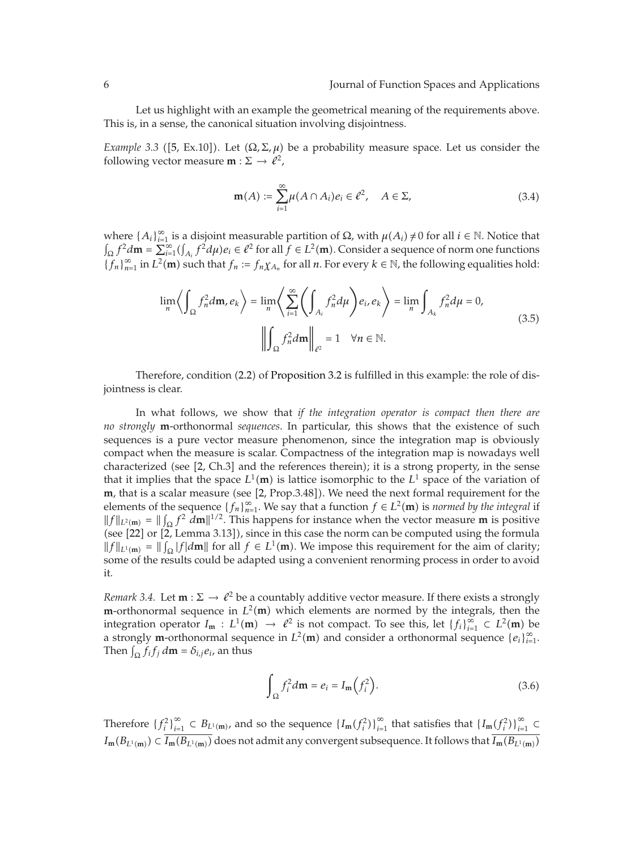Let us highlight with an example the geometrical meaning of the requirements above. This is, in a sense, the canonical situation involving disjointness.

*Example 3.3* ([5, Ex.10]). Let  $(\Omega, \Sigma, \mu)$  be a probability measure space. Let us consider the following vector measure **m** :  $\Sigma \rightarrow \ell^2$ ,

$$
\mathbf{m}(A) := \sum_{i=1}^{\infty} \mu(A \cap A_i) e_i \in \ell^2, \quad A \in \Sigma,
$$
 (3.4)

where { $A_i$ }<sup>∞</sup><sub>*i*-1</sub> is a disjoint measurable partition of Ω, with  $\mu(A_i) \neq 0$  for all *i* ∈ N. Notice that  $\int_{\Omega} f^2 d\mathbf{m} = \sum_{i=1}^{\infty} (\int_{A_i} f^2 d\mu) e_i \in \ell^2$  for all  $f \in L^2(\mathbf{m})$ . Consider a sequence of norm one functions  ${f_n}_{n=1}^{\infty}$  in  $L^2(\mathbf{m})$  such that  $f_n := f_n \chi_{A_n}$  for all *n*. For every  $k \in \mathbb{N}$ , the following equalities hold:

$$
\lim_{n} \left\langle \int_{\Omega} f_n^2 d\mathbf{m}, e_k \right\rangle = \lim_{n} \left\langle \sum_{i=1}^{\infty} \left( \int_{A_i} f_n^2 d\mu \right) e_i, e_k \right\rangle = \lim_{n} \int_{A_k} f_n^2 d\mu = 0,
$$
\n
$$
\left\| \int_{\Omega} f_n^2 d\mathbf{m} \right\|_{\ell^2} = 1 \quad \forall n \in \mathbb{N}.
$$
\n(3.5)

Therefore, condition (2.2) of Proposition 3.2 is fulfilled in this example: the role of disjointness is clear.

In what follows, we show that *if the integration operator is compact then there are no strongly* **m**-orthonormal *sequences*. In particular, this shows that the existence of such sequences is a pure vector measure phenomenon, since the integration map is obviously compact when the measure is scalar. Compactness of the integration map is nowadays well characterized (see [2, Ch.3] and the references therein); it is a strong property, in the sense that it implies that the space  $L^1(\mathbf{m})$  is lattice isomorphic to the  $L^1$  space of the variation of  $\mathbf{m}$  that is a scalar moasure (see [2, Prop. 3.481). We pood the poxt formal requirement for the **m**, that is a scalar measure (see [2, Prop.3.48]). We need the next formal requirement for the elements of the sequence  $\int f \log W_0$  say that a function  $f \in L^2(\mathbf{m})$  is normed by the integral if elements of the sequence  $\{f_n\}_{n=1}^{\infty}$ . We say that a function  $f \in L^2(\mathbf{m})$  is *normed by the integral* if  $||f||_{L^2(m)} = ||\int_{\Omega} f^2 dm||^{1/2}$ . This happens for instance when the vector measure **m** is positive (see [22] or [2] Jonna 3.131), since in this case the norm can be computed using the formula (see [22] or [2, Lemma 3.13]), since in this case the norm can be computed using the formula  $||f||_{L^1(\mathbf{m})} = ||\int_{\Omega} |f| d\mathbf{m}||$  for all  $f \in L^1(\mathbf{m})$ . We impose this requirement for the aim of clarity;<br>some of the results could be adapted using a convenient reporting process in order to avoid some of the results could be adapted using a convenient renorming process in order to avoid it.

*Remark 3.4.* Let  $\mathbf{m} : \Sigma \to \ell^2$  be a countably additive vector measure. If there exists a strongly  $\mathbf{m}$ -orthonormal soquence in  $L^2(\mathbf{m})$  which elements are normed by the integrals, then the **m**-orthonormal sequence in  $L^2(\mathbf{m})$  which elements are normed by the integrals, then the integrals then  $\lim_{n \to \infty} L^2(\mathbf{m})$  be  $\ell^2$  is not compact. To see this let  $\ell^2 L^{\infty} \subset L^2(\mathbf{m})$  be integration operator  $I_m : L^1(m) \to \ell^2$  is not compact. To see this, let  $\{f_i\}_{i=1}^{\infty} \subset L^2(m)$  be<br>a strongly m-orthonormal sequence in  $L^2(m)$  and consider a orthonormal sequence  $\{g_i\}^{\infty}$ a strongly **m**-orthonormal sequence in  $L^2(\mathbf{m})$  and consider a orthonormal sequence  $\{e_i\}_{i=1}^{\infty}$ . Then  $\int_{\Omega} f_i f_j d\mathbf{m} = \delta_{i,j} e_i$ , an thus

$$
\int_{\Omega} f_i^2 d\mathbf{m} = e_i = I_{\mathbf{m}} \left( f_i^2 \right). \tag{3.6}
$$

Therefore  $\{f_i^2\}_{i=1}^{\infty} \subset B_{L^1(\mathbf{m})}$ , and so the sequence  $\{I_{\mathbf{m}}(f_i^2)\}_{i=1}^{\infty}$  that satisfies that  $\{I_{\mathbf{m}}(f_i^2)\}_{i=1}^{\infty} \subset$  $I_m(B_{L^1(m)}) \subset I_m(B_{L^1(m)})$  does not admit any convergent subsequence. It follows that  $I_m(B_{L^1(m)})$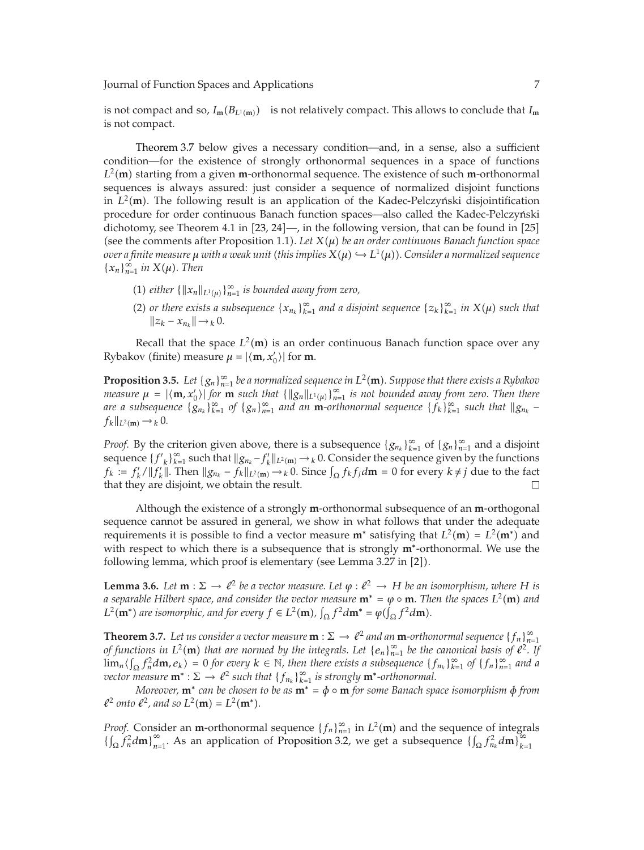is not compact and so,  $I_m(B_{L^1(m)})$  is not relatively compact. This allows to conclude that  $I_m$ is not compact.

Theorem 3.7 below gives a necessary condition—and, in a sense, also a sufficient condition—for the existence of strongly orthonormal sequences in a space of functions  $L^2$ (**m**) starting from a given **m**-orthonormal sequence. The existence of such **m**-orthonormal sequences is always assumed: just consider a sequence of permalized disjoint functions sequences is always assured: just consider a sequence of normalized disjoint functions in  $L^2(\mathbf{m})$ . The following result is an application of the Kadec-Pelczyński disjointification  $\mathbf{r}$  recognizes  $\mathbf{r}$  and  $\mathbf{r}$  and  $\mathbf{r}$  and  $\mathbf{r}$  and  $\mathbf{r}$  and  $\mathbf{r}$  and  $\mathbf{r}$  and  $\mathbf{r}$  and procedure for order continuous Banach function spaces—also called the Kadec-Pelczynski ´ dichotomy, see Theorem 4.1 in  $[23, 24]$ —, in the following version, that can be found in  $[25]$ (see the comments after Proposition 1.1). Let  $X(\mu)$  be an order continuous Banach function space  $i$  *over a finite measure*  $\mu$  *with a weak unit (this implies*  $X(\mu) \hookrightarrow L^1(\mu)$ *). Consider a normalized sequence*  ${x_n}_{n=1}^{\infty}$  *in*  $X(\mu)$ *. Then* 

- (1) *either*  $\{\|x_n\|_{L^1(\mu)}\}_{n=1}^{\infty}$  *is bounded away from zero,*
- (2) or there exists a subsequence  $\{x_{n_k}\}_{k=1}^{\infty}$  and a disjoint sequence  $\{z_k\}_{k=1}^{\infty}$  in  $X(\mu)$  such that  $||z_k - x_{n_k}||$  →  $_k$  0*.*

Recall that the space  $L^2(\mathbf{m})$  is an order continuous Banach function space over any  $L^2(\mathbf{m})$  measure  $u = |(\mathbf{m}, \mathbf{m}')|$  for  $\mathbf{m}$ Rybakov (finite) measure  $\mu = |\langle \mathbf{m}, x'_0 \rangle|$  for **m**.

**Proposition 3.5.** *Let*  $\{g_n\}_{n=1}^{\infty}$  *be a normalized sequence in*  $L^2(\mathbf{m})$ *. Suppose that there exists a Rybakov measure*  $u = |(\mathbf{m} \times) |$  *for* **m** such that  $\{||\alpha||_{\infty}, \}^{\infty}$  *is not hounded given from zero. measure*  $\mu = |(\mathbf{m}, x_0')|$  for **m** *such that*  $\{\|g_n\|_{L^1(\mu)}\}_{n=1}^{\infty}$  *is not bounded away from zero. Then there*<br>*are a subsequence*  $\{g_n\}_{n=1}^{\infty}$  of  $\{g_n\}_{n=1}^{\infty}$  and an **m**-orthonormal sequence  $\{f_n\}_{n=1$ *are a subsequence*  ${g_{n_k}}_{k=1}^{\infty}$  *of*  ${g_n}_{n=1}^{\infty}$  *and an* **m**-*orthonormal sequence*  ${f_k}_{k=1}^{\infty}$  *such that*  $||g_{n_k} - f_k||_{\infty}$  $f_k||_{L^2(\mathbf{m})} \to k_0$ .

*Proof.* By the criterion given above, there is a subsequence  ${g_{n_k}}_{k=1}^{\infty}$  of  ${g_n}_{n=1}^{\infty}$  and a disjoint sequence  ${f'}_k\}_{k=1}^\infty$  such that  $\|g_{n_k} - f'_k\|_{L^2(m)} \to k^0$ . Consider the sequence given by the functions  $f_k := f'_k / ||f'_k||$ . Then  $||g_{n_k} - f_k||_{L^2(\mathfrak{m})} \to k0$ . Since  $\int_{\Omega} f_k f_j d\mathfrak{m} = 0$  for every  $k \neq j$  due to the fact that they are disjoint, we obtain the result that they are disjoint, we obtain the result.

Although the existence of a strongly **m**-orthonormal subsequence of an **m**-orthogonal sequence cannot be assured in general, we show in what follows that under the adequate requirements it is possible to find a vector measure  $\mathbf{m}^*$  satisfying that  $L^2(\mathbf{m}) = L^2(\mathbf{m}^*)$  and with respect to which there is a subsequence that is strongly  $\mathbf{m}^*$ -orthonormal. We use the with respect to which there is a subsequence that is strongly **m**∗-orthonormal. We use the following lemma, which proof is elementary (see Lemma 3.27 in [2]).

**Lemma 3.6.** *Let* **m** :  $\Sigma \to \ell^2$  *be a vector measure. Let*  $\varphi : \ell^2 \to H$  *be an isomorphism, where H is a congrable Hilbert cases, and consider the vector measure*  $\mathbf{m}^* = \mu \circ \mathbf{m}$ . Then the cases  $L^2(\mathbf{m$ *a* separable Hilbert space, and consider the vector measure  $\mathbf{m}^* = \varphi \circ \mathbf{m}$ . Then the spaces  $L^2(\mathbf{m})$  and  $L^2(\mathbf{m}^*)$  are isomorphic, and for every  $f \in L^2(\mathbf{m})$  ( $f^2d\mathbf{m}^* = \varphi(f, f^2d\mathbf{m})$ )  $L^2(\mathbf{m}^*)$  are isomorphic, and for every  $f \in L^2(\mathbf{m})$ ,  $\int_{\Omega} f^2 d\mathbf{m}^* = \varphi(\mathbf{m})$  $(\int_{\Omega} f^2 d\mathbf{m}).$ 

**Theorem 3.7.** *Let us consider a vector measure*  $\mathbf{m} : \Sigma \to \ell^2$  *and an*  $\mathbf{m}$ *-orthonormal sequence* {*f<sub>n</sub>*} $_{n=1}^{\infty}$  *of functions in*  $L^2(\mathbf{m})$  *that are normed by the integrals Let Le*,  $L^{\infty}$ , be the can *of functions in*  $L^2(\mathbf{m})$  *that are normed by the integrals. Let*  $\{e_n\}_{n=1}^{\infty}$  *be the canonical basis of*  $\ell^2$ . If  $\lim_{n \to \infty} \ell$  *f*  $\ell^2$  *d n*  $\ell$  *n d n*  $\ell$  *n d n n d n n d n n*  $\lim_{n}$   $\left(\int_{\Omega} \frac{f_n^2}{\partial m} e_k\right) = 0$  for every  $k \in \mathbb{N}$ , then there exists a subsequence  $\{f_{n_k}\}_{k=1}^{\infty}$  of  $\{f_n\}_{n=1}^{\infty}$  and a<br>zyector measure  $\mathbf{m}^* \cdot \nabla \rightarrow e^2$  such that  $\{f_n\}_{n=1}^{\infty}$  is strongly *vector measure*  $\mathbf{m}^* : \Sigma \to \ell^2$  *such that*  $\{f_{n_k}\}_{k=1}^{\infty}$  *is strongly*  $\mathbf{m}^*$ *-orthonormal.*<br>*Moreover*  $\mathbf{m}^*$  *can be chosen to be as*  $\mathbf{m}^* = \phi \circ \mathbf{m}$  for some Banach sn

*Moreover,* **m**<sup>∗</sup> *can be chosen to be as* **<sup>m</sup>**<sup>∗</sup> *<sup>φ</sup>* ◦ **<sup>m</sup>** *for some Banach space isomorphism <sup>φ</sup> from*  $l^2$  *onto*  $l^2$ *, and so*  $L^2(\mathbf{m}) = L^2(\mathbf{m}^*).$ 

*Proof.* Consider an **m**-orthonormal sequence  $\{f_n\}_{n=1}^{\infty}$  in  $L^2(\mathbf{m})$  and the sequence of integrals  $\{f_n\}_{n=1}^{\infty}$  and  $\{f_n\}_{n=1}^{\infty}$  $\left\{\int_{\Omega} f_n^2 d\mathbf{m}\right\}_{n=1}^{\infty}$ . As an application of Proposition 3.2, we get a subsequence  $\left\{\int_{\Omega} f_{n_k}^2 d\mathbf{m}\right\}_{k=1}^{\infty}$  $k=1$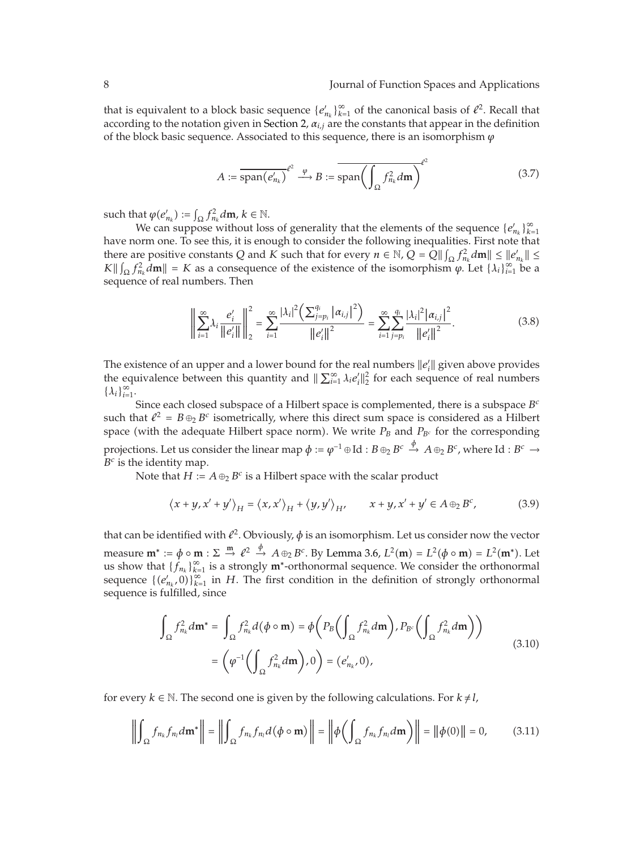that is equivalent to a block basic sequence  ${e_{n_k}}_{k=1}^{\infty}$  of the canonical basis of  $l^2$ . Recall that according to the notation given in Section 2, *αi,j* are the constants that appear in the definition of the block basic sequence. Associated to this sequence, there is an isomorphism  $\varphi$ 

$$
A := \overline{\text{span}(e'_{n_k})}^{\ell^2} \xrightarrow{\varphi} B := \overline{\text{span}\left(\int_{\Omega} f_{n_k}^2 d\mathbf{m}\right)}^{\ell^2}
$$
(3.7)

such that  $\varphi(e'_{n_k}) := \int_{\Omega} f_{n_k}^2 d\mathbf{m}, k \in \mathbb{N}$ .<br>
We can suppose without los

We can suppose without loss of generality that the elements of the sequence  ${e_{n_k}}_{k=1}^{\infty}$ have norm one. To see this, it is enough to consider the following inequalities. First note that there are positive constants *Q* and *K* such that for every  $n \in \mathbb{N}$ ,  $Q = \overline{Q} || \int_{\Omega} f_n^2 d\mathbf{m} || \le ||e_n^{\prime}|| \le$ <br>  $V || \int_{\Omega} f_n^2 d\mathbf{m} || = V$  as a consequence of the overtence of the isomorphism  $\mu$ , Let  $\{1\} \otimes$  he as  $K \|\int_{\Omega} f_{n_k}^2 d\mathbf{m}\| = K$  as a consequence of the existence of the isomorphism  $\varphi$ . Let  $\{\lambda_i\}_{i=1}^{\infty}$  be a sequence of real numbers. Then sequence of real numbers. Then

$$
\left\| \sum_{i=1}^{\infty} \lambda_i \frac{e'_i}{\|e'_i\|} \right\|_2^2 = \sum_{i=1}^{\infty} \frac{|\lambda_i|^2 \left( \sum_{j=p_i}^{q_i} |\alpha_{i,j}|^2 \right)}{\|e'_i\|^2} = \sum_{i=1}^{\infty} \sum_{j=p_i}^{q_i} \frac{|\lambda_i|^2 |\alpha_{i,j}|^2}{\|e'_i\|^2}.
$$
 (3.8)

The existence of an upper and a lower bound for the real numbers  $||e'_i||$  given above provides the equivalence between this quantity and  $\|\sum_{i=1}^{\infty} \lambda_i e'_i\|_2^2$  for each sequence of real numbers  $\{\lambda_i\}_{i=1}^{\infty}$ .

Since each closed subspace of a Hilbert space is complemented, there is a subspace *B<sup>c</sup>* such that  $\ell^2 = B \oplus_2 B^c$  isometrically, where this direct sum space is considered as a Hilbert space (with the adequate Hilbert space norm). We write  $P_B$  and  $P_{B^c}$  for the corresponding projections. Let us consider the linear map  $\phi:=\varphi^{-1}\oplus \mathrm{Id}:B\oplus_2 B^c\stackrel{\phi}{\to}A\oplus_2 B^c$  , where  $\mathrm{Id}:B^c\to$  $B^c$  is the identity map.

Note that *H* :=  $A \oplus_{2} B^{c}$  is a Hilbert space with the scalar product

$$
\langle x+y,x'+y' \rangle_H = \langle x,x' \rangle_H + \langle y,y' \rangle_H, \qquad x+y,x'+y' \in A \oplus_2 B^c,
$$
 (3.9)

that can be identified with  $\ell^2$ . Obviously,  $\phi$  is an isomorphism. Let us consider now the vector measure  $\mathbf{m}^* := \phi \circ \mathbf{m} : \Sigma \stackrel{\mathbf{m}}{\rightarrow} \ell^2 \stackrel{\phi}{\rightarrow} A \oplus_2 B^c$ . By Lemma 3.6,  $L^2(\mathbf{m}) = L^2(\phi \circ \mathbf{m}) = L^2(\mathbf{m}^*)$ . Let us show that  ${f_{n_k}}_{k=1}^{\infty}$  is a strongly **m**<sup>∗</sup>-orthonormal sequence. We consider the orthonormal sequence  $f(c', 0)$  is  $H$ . The first condition in the definition of strongly orthonormal sequence  $\{(e'_{n_k}, 0)\}_{k=1}^{\infty}$  in *H*. The first condition in the definition of strongly orthonormal sequence is fulfilled, since

$$
\int_{\Omega} f_{n_k}^2 d\mathbf{m}^* = \int_{\Omega} f_{n_k}^2 d(\phi \circ \mathbf{m}) = \phi \bigg( P_B \bigg( \int_{\Omega} f_{n_k}^2 d\mathbf{m} \bigg), P_{B^c} \bigg( \int_{\Omega} f_{n_k}^2 d\mathbf{m} \bigg) \bigg)
$$
\n
$$
= \bigg( \varphi^{-1} \bigg( \int_{\Omega} f_{n_k}^2 d\mathbf{m} \bigg), 0 \bigg) = (e'_{n_k}, 0),
$$
\n(3.10)

for every  $k \in \mathbb{N}$ . The second one is given by the following calculations. For  $k \neq l$ ,

$$
\left\| \int_{\Omega} f_{n_k} f_{n_l} d\mathbf{m}^* \right\| = \left\| \int_{\Omega} f_{n_k} f_{n_l} d(\phi \circ \mathbf{m}) \right\| = \left\| \phi \left( \int_{\Omega} f_{n_k} f_{n_l} d\mathbf{m} \right) \right\| = \left\| \phi(0) \right\| = 0, \tag{3.11}
$$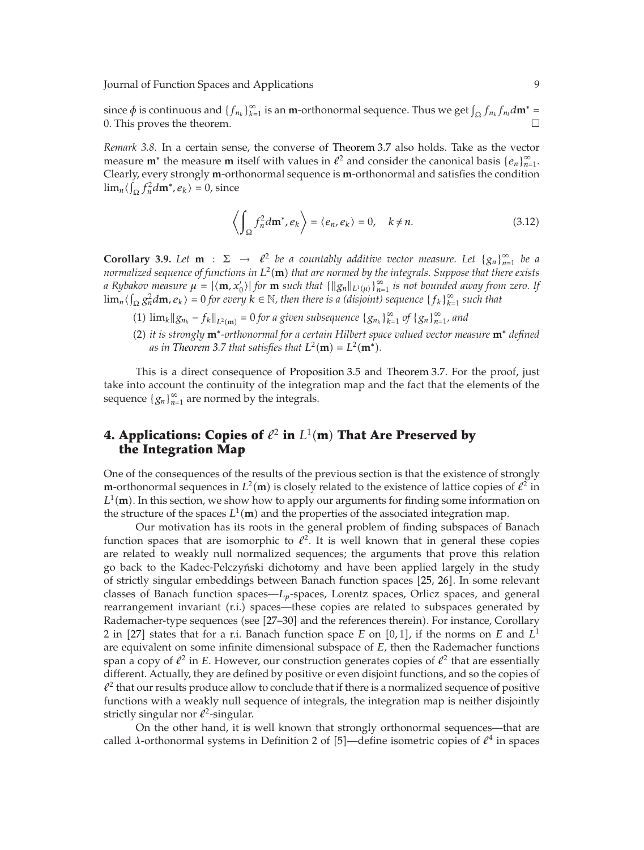since  $\phi$  is continuous and  $\{f_{n_k}\}_{k=1}^{\infty}$  is an **m**-orthonormal sequence. Thus we get  $\int_{\Omega} f_{n_k} f_{n_l} d\mathbf{m}^* = 0$ . This proves the theorem 0. This proves the theorem.

*Remark 3.8.* In a certain sense, the converse of Theorem 3.7 also holds. Take as the vector measure **m**<sup>∗</sup> the measure **m** itself with values in  $\ell^2$  and consider the canonical basis  $\{e_n\}_{n=1}^{\infty}$ Clearly, every strongly **m**-orthonormal sequence is **m**-orthonormal and satisfies the condition  $\lim_{n} \langle \int_{\Omega} f_n^2 d\mathbf{m}^*, e_k \rangle = 0$ , since

$$
\left\langle \int_{\Omega} f_n^2 d\mathbf{m}^*, e_k \right\rangle = \left\langle e_n, e_k \right\rangle = 0, \quad k \neq n. \tag{3.12}
$$

**Corollary 3.9.** Let **m** :  $\Sigma \rightarrow \ell^2$  be a countably additive vector measure. Let  $\{g_n\}_{n=1}^{\infty}$  be a pormalized sequence of functions in  $L^2(\mathbf{m})$  that are normed by the integrals. Sumpose that there exists *normalized sequence of functions in*  $L^2(\mathbf{m})$  *that are normed by the integrals. Suppose that there exists*<br>a Bubakazi measure  $\mu = |a\mathbf{m}|\mathbf{x}'|$  for  $\mathbf{m}$  such that  $\{||a||_{\infty}, \}^{\infty}$  is not hounded guay from ze *a* Rybakov measure  $\mu = |\langle \mathbf{m}, x'_0 \rangle|$  for  $\mathbf{m}$  such that  $\{\|g_n\|_{L^1(\mu)}\}_{n=1}^{\infty}$  is not bounded away from zero. If  $\lim_{n}$   $\langle \int_{\Omega} g_n^2 d\mathbf{m}, e_k \rangle = 0$  for every  $k \in \mathbb{N}$ , then there is a (disjoint) sequence  $\{f_k\}_{k=1}^{\infty}$  such that

- (1)  $\lim_k ||g_{n_k} f_k||_{L^2(\mathbf{m})} = 0$  *for a given subsequence*  $\{g_{n_k}\}_{k=1}^{\infty}$  *of*  $\{g_n\}_{n=1}^{\infty}$ *, and*
- -<sup>2</sup> *it is strongly* **m**<sup>∗</sup>*-orthonormal for a certain Hilbert space valued vector measure* **<sup>m</sup>**<sup>∗</sup> *defined* as in Theorem 3.7 that satisfies that  $L^2(\mathbf{m}) = L^2(\mathbf{m}^*).$

This is a direct consequence of Proposition 3.5 and Theorem 3.7. For the proof, just take into account the continuity of the integration map and the fact that the elements of the sequence  ${g_n}_{n=1}^{\infty}$  are normed by the integrals.

## **4. Applications: Copies of**  $\ell^2$  **in**  $L^1(\textbf{m})$  **That Are Preserved by the Integration Map**

One of the consequences of the results of the previous section is that the existence of strongly **m**-orthonormal sequences in  $L^2(\mathbf{m})$  is closely related to the existence of lattice copies of  $\ell^2$  in  $L^1(\mathbf{m})$ . In this section, we show how to apply our arguments for finding some information on  $L^1(\mathbf{m})$ . In this section, we show how to apply our arguments for finding some information on the structure of the spaces  $L^1(\mathbf{m})$  and the properties of the associated integration map the structure of the spaces  $L^1(\mathbf{m})$  and the properties of the associated integration map.<br>Our motivation has its roots in the general problem of finding subspaces of **L** 

Our motivation has its roots in the general problem of finding subspaces of Banach function spaces that are isomorphic to  $l^2$ . It is well known that in general these copies are related to weakly null normalized sequences; the arguments that prove this relation go back to the Kadec-Pelczynski dichotomy and have been applied largely in the study ´ of strictly singular embeddings between Banach function spaces [25, 26]. In some relevant classes of Banach function spaces—*Lp*-spaces, Lorentz spaces, Orlicz spaces, and general rearrangement invariant (r.i.) spaces—these copies are related to subspaces generated by Rademacher-type sequences (see [27–30] and the references therein). For instance, Corollary 2 in [27] states that for a r.i. Banach function space *E* on [0,1], if the norms on *E* and  $L^1$ are equivalent on some infinite dimensional subspace of *E*, then the Rademacher functions span a copy of  $\ell^2$  in *E*. However, our construction generates copies of  $\ell^2$  that are essentially different. Actually, they are defined by positive or even disjoint functions, and so the copies of  $l^2$  that our results produce allow to conclude that if there is a normalized sequence of positive functions with a weakly null sequence of integrals, the integration map is neither disjointly strictly singular nor  $\ell^2$ -singular.

On the other hand, it is well known that strongly orthonormal sequences—that are called *λ*-orthonormal systems in Definition 2 of [5]—define isometric copies of  $\ell^4$  in spaces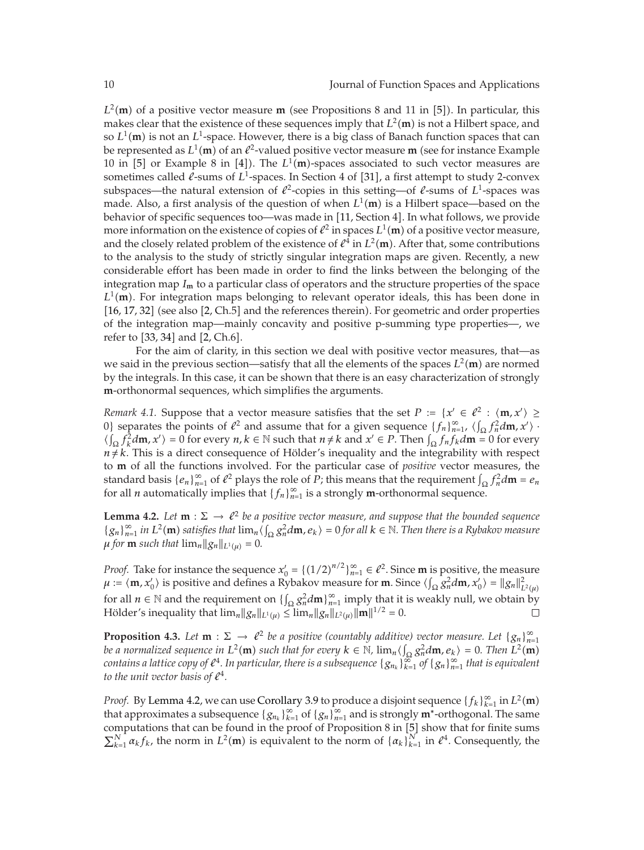$L^2(\mathbf{m})$  of a positive vector measure **m** (see Propositions 8 and 11 in [5]). In particular, this makes clear that the ovietance of these sequences imply that  $L^2(\mathbf{m})$  is not a Hilbert space, and makes clear that the existence of these sequences imply that  $L^2(\mathbf{m})$  is not a Hilbert space, and<br>so  $L^1(\mathbf{m})$  is not an  $L^1$ -gaze. However, there is a big class of Banach function spaces that can so  $L^1(\mathbf{m})$  is not an  $L^1$ -space. However, there is a big class of Banach function spaces that can<br>be represented as  $L^1(\mathbf{m})$  of an  $l^2$ -valued positive vector massure **m** (see for instance Example be represented as  $L^1(\mathbf{m})$  of an  $\ell^2$ -valued positive vector measure **m** (see for instance Example 10 in [5] or Example 8 in [4]). The  $L^1(\mathbf{m})$ -spaces associated to such vector measures are 10 in [5] or Example 8 in [4]). The  $L^1(\mathbf{m})$ -spaces associated to such vector measures are<br>sometimes called  $\ell$ -sums of  $L^1$ -spaces. In Section 4 of [31], a first attempt to study 2-convex sometimes called *l*-sums of L<sup>1</sup>-spaces. In Section 4 of [31], a first attempt to study 2-convex subspaces—the natural extension of  $\ell^2$ -copies in this setting—of  $\ell$ -sums of  $L^1$ -spaces was made. Also, a first analysis of the question of when  $L^1(\mathbf{m})$  is a Hilbert space—based on the help via provide behavior of specific sequences too—was made in [11, Section 4]. In what follows, we provide more information on the existence of copies of  $\ell^2$  in spaces  $L^1(\mathbf{m})$  of a positive vector measure,<br>and the closely related problem of the existence of  $\ell^4$  in  $L^2(\mathbf{m})$ . After that, some contributions and the closely related problem of the existence of  $l^4$  in  $L^2(\mathbf{m})$ . After that, some contributions to the analysis to the study of strictly singular integration mans are given. Recently a new to the analysis to the study of strictly singular integration maps are given. Recently, a new considerable effort has been made in order to find the links between the belonging of the integration map  $I_{\rm m}$  to a particular class of operators and the structure properties of the space  $L^1(\mathbf{m})$ . For integration maps belonging to relevant operator ideals, this has been done in  $[16, 17, 32]$  (see also  $[2, Cb, 5]$  and the references therein). For geometric and order properties  $[16, 17, 32]$  (see also  $[2, Ch.5]$  and the references therein). For geometric and order properties of the integration map—mainly concavity and positive p-summing type properties—, we refer to  $[33, 34]$  and  $[2, Ch.6]$ .

For the aim of clarity, in this section we deal with positive vector measures, that—as we said in the previous section—satisfy that all the elements of the spaces  $L^2(\mathbf{m})$  are normed<br>by the integrals. In this case, it can be shown that there is an easy characterization of strongly by the integrals. In this case, it can be shown that there is an easy characterization of strongly **m**-orthonormal sequences, which simplifies the arguments.

*Remark 4.1.* Suppose that a vector measure satisfies that the set  $P := \{x' \in \ell^2 : \langle \mathbf{m}, x' \rangle \geq 0\}$  sequence  $\ell^2$  is  $\langle x, x' \rangle \geq 0$ 0} separates the points of  $\ell^2$  and assume that for a given sequence  $\{f_n\}_{n=1}^{\infty}$ ,  $\langle \int_{\Omega} f_n^2 d\mathbf{m}, x' \rangle$ ,  $\ell$   $\ell$   $f_n^2 d\mathbf{m}$ ,  $x' \rangle = 0$  for overv  $n, k \in \mathbb{N}$  such that  $n \neq k$  and  $x' \in R$ . Then  $\ell$ ,  $f_n$  $\langle \int_{\Omega} f_k^2 d\mathbf{m}, x' \rangle = 0$  for every  $n, k \in \mathbb{N}$  such that  $n \neq k$  and  $x' \in P$ . Then  $\int_{\Omega} f_n f_k d\mathbf{m} = 0$  for every  $n \neq k$ . This is a direct consequence of Hölder's inequality and the integrability with respectivel  $n \neq k$ . This is a direct consequence of Hölder's inequality and the integrability with respect to **m** of all the functions involved. For the particular case of *positive* vector measures, the standard basis  $\{e_n\}_{n=1}^{\infty}$  of  $e^2$  plays the role of *P*; this means that the requirement  $\int_{\Omega} f_n^2 d\mathbf{m} = e_n$ <br>for all *n* automatically implies that  $\int_{\Omega} f_n^2 \infty$  is a strongly **m**-orthonormal soquence for all *n* automatically implies that  ${f_n}_{n=1}^{\infty}$  is a strongly **m**-orthonormal sequence.

**Lemma 4.2.** *Let* **m** :  $\Sigma \to \ell^2$  *be a positive vector measure, and suppose that the bounded sequence*<br>*Le*  $\iota^\infty$  *in L*<sup>2</sup>(**m**) satisfies that  $\iota$  im  $\ell$  ( $\iota \alpha^2 dm$  a) = 0 for all  $k \in \mathbb{N}$ . Then there is a B  ${g_n}_{n=1}^{\infty}$  *in*  $L^2(\mathbf{m})$  *satisfies that*  $\lim_n \langle \int_{\Omega} g_n^2 d\mathbf{m}, e_k \rangle = 0$  *for all*  $k \in \mathbb{N}$ . Then there is a Rybakov measure  $\mu$  *for* **m** *such that*  $\lim_{n} \|g_n\|_{L^1(\mu)} = 0.$ 

*Proof.* Take for instance the sequence  $x'_0 = \{(1/2)^{n/2}\}_{n=1}^{\infty} \in \ell^2$ . Since **m** is positive, the measure  $\mu := \langle m, x' \rangle$  is positive and defines a Rybakey measure for **m**. Since  $\langle \int c^2 dm, x' \rangle = ||a||^2$  $\mu := \langle \mathbf{m}, x'_0 \rangle$  is positive and defines a Rybakov measure for **m**. Since  $\langle \int_{\Omega} g_n^2 d\mathbf{m}, x'_0 \rangle = ||g_n||_{L^2(\mu)}^2$ for all  $n \in \mathbb{N}$  and the requirement on  $\{\int_{\Omega} g_n^2 d\mathbf{m}\}_{n=1}^{\infty}$  imply that it is weakly null, we obtain by Hölder's inequality that  $\lim_{n} ||g_n||_{L^1(\mu)} \leq \lim_{n} ||g_n||_{L^2(\mu)} ||\mathbf{m}||^{1/2} = 0.$ 

**Proposition 4.3.** *Let* **m** :  $\Sigma \to \ell^2$  *be a positive (countably additive) vector measure. Let*  $\{g_n\}_{n=1}^{\infty}$ <br>he a normalized sequence in  $I^2(\mathbf{m})$  such that for given  $k \in \mathbb{N}$  lim  $\ell$   $\ell^2$  dm  $g$ ,  $\ell \geq 0$ be a normalized sequence in  $L^2(\mathbf{m})$  such that for every  $k \in \mathbb{N}$ ,  $\lim_{n \langle \int_{\Omega} S_n^2 d\mathbf{m}, e_k \rangle} = 0$ . Then  $L^2(\mathbf{m})$ <br>contains a lattice copy of  $\ell^4$ . In particular, there is a subsequence  $\{g_{n_k}\}_{k=1}^{\infty}$  of to the unit vector basis of  $\ell^4$ .

*Proof.* By Lemma 4.2, we can use Corollary 3.9 to produce a disjoint sequence  $\{f_k\}_{k=1}^{\infty}$  in  $L^2(\mathbf{m})$  that approximates a subsequence  $\{g_k\}_{k=1}^{\infty}$  of  $\{g_k\}_{k=1}^{\infty}$  and is strongly  $\mathbf{m}^*$ -orthogonal. that approximates a subsequence  ${g_{n_k}}_{k=1}^{\infty}$  of  ${g_n}_{n=1}^{\infty}$  and is strongly  $\mathbf{m}^*$ -orthogonal. The same computations that can be found in the proof of Proposition 8 in  $[5]$  show that for finite sums  $\sum_{k=1}^{N} \alpha_k f_k$ , the norm in  $L^2(\mathbf{m})$  is equivalent to the norm of  $\{\alpha_k\}_{k=1}^N$  in  $\ell^4$ . Consequently, the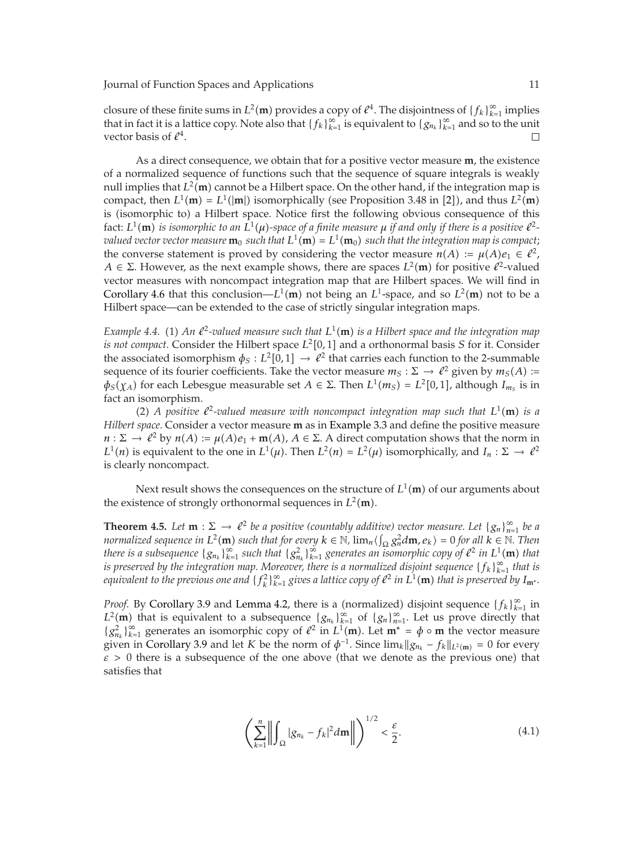closure of these finite sums in  $L^2(\mathbf{m})$  provides a copy of  $\ell^4$ . The disjointness of  $\{f_k\}_{k=1}^{\infty}$  implies<br>that in fact it is a lattice copy. Note also that  $\{f_k\}_{k=1}^{\infty}$  is equivalent to  $\{g_k\}_{k=1}^{\infty}$  a that in fact it is a lattice copy. Note also that  ${f_k}_{k=1}^{\infty}$  is equivalent to  ${g_{n_k}}_{k=1}^{\infty}$  and so to the unit vector basis of  $\ell^4$ .  $\Box$ 

As a direct consequence, we obtain that for a positive vector measure **m**, the existence of a normalized sequence of functions such that the sequence of square integrals is weakly null implies that  $L^2(\mathbf{m})$  cannot be a Hilbert space. On the other hand, if the integration map is<br>compact then  $L^1(\mathbf{m}) = L^1(\mathbf{m})$  isomorphically (see Proposition 3.48 in [2]), and thus  $L^2(\mathbf{m})$ compact, then  $L^1(\mathbf{m}) = L^1(|\mathbf{m}|)$  isomorphically (see Proposition 3.48 in [2]), and thus  $L^2(\mathbf{m})$ <br>is (isomorphic to) a Hilbert space. Notice first the following obvious consequence of this is (isomorphic to) a Hilbert space. Notice first the following obvious consequence of this fact:  $L^1(\mathbf{m})$  is isomorphic to an  $L^1(\mu)$ -space of a finite measure  $\mu$  if and only if there is a positive  $\ell^2$ -<br>zyglued vector vector measure  $\mathbf{m}_2$  such that  $L^1(\mathbf{m}) - L^1(\mathbf{m}_2)$  such that the integration *valued vector vector measure*  $\mathbf{m}_0$  *such that*  $L^1(\mathbf{m}) = L^1(\mathbf{m}_0)$  *such that the integration map is compact*;<br>the converse statement is proved by considering the vector measure  $n(A) := \mu(A)e \in \ell^2$ the converse statement is proved by considering the vector measure  $n(A) := \mu(A)e_1 \in \ell^2$ ,  $A \in \Sigma$ . However, as the next example shows, there are spaces  $L^2(\mathbf{m})$  for positive  $\ell^2$ -valued vector measures with popcompact integration man that are Hilbert spaces. We will find in vector measures with noncompact integration map that are Hilbert spaces. We will find in Corollary 4.6 that this conclusion— $L^1(\mathbf{m})$  not being an  $L^1$ -space, and so  $L^2(\mathbf{m})$  not to be a<br>Hilbert cases, can be extended to the case of strictly singular integration mane Hilbert space—can be extended to the case of strictly singular integration maps.

*Example 4.4.* (1) An  $\ell^2$ -valued measure such that  $L^1(\mathbf{m})$  is a Hilbert space and the integration map<br>*is not connect* Consider the Hilbert space  $L^2[0, 1]$  and a orthonormal basis S for it Consider *is not compact.* Consider the Hilbert space  $L^2[0,1]$  and a orthonormal basis *S* for it. Consider the associated isomorphism  $\phi_S: L^2[0,1] \to \ell^2$  that carries each function to the 2-summable sequence of its fourier coefficients. Take the vector measure  $m_S : \Sigma \to \ell^2$  given by  $m_S(A) :=$  $φ_S$ (*χ*<sub>*A*</sub>) for each Lebesgue measurable set *A* ∈ Σ. Then *L*<sup>1</sup>(*m*<sub>*S*</sub>) = *L*<sup>2</sup>[0,1], although *I*<sub>*m<sub>S</sub>* is in</sub> fact an isomorphism.

(2) *A positive*  $\ell^2$ -valued measure with noncompact integration map such that  $L^1(\mathbf{m})$  is a<br>space Consider a vector measure **m** as in Example 3.3 and define the positive measure *Hilbert space.* Consider a vector measure **m** as in Example 3.3 and define the positive measure  $n : \Sigma \to \ell^2$  by  $n(A) := \mu(A)e_1 + \mathbf{m}(A)$ ,  $A \in \Sigma$ . A direct computation shows that the norm in  $L^1(n)$  is equivalent to the one in  $L^1(\mu)$ . Then  $L^2(\mu) - L^2(\mu)$  isomorphically and  $L : \Sigma \to \ell^2$ *L*<sup>1</sup>(*n*) is equivalent to the one in *L*<sup>1</sup>( $\mu$ ). Then *L*<sup>2</sup>(*n*) = *L*<sup>2</sup>( $\mu$ ) isomorphically, and *I<sub>n</sub>* :  $\Sigma \to \ell^2$ is clearly noncompact.

Next result shows the consequences on the structure of  $L^1(\mathbf{m})$  of our arguments about stonce of strongly orthonormal sequences in  $L^2(\mathbf{m})$ the existence of strongly orthonormal sequences in  $L^2(\mathbf{m})$ .

**Theorem 4.5.** *Let* **m** :  $\Sigma \to \ell^2$  *be a positive (countably additive) vector measure. Let*  $\{g_n\}_{n=1}^{\infty}$  *be a normalized sequence in*  $I^2(\mathbf{m})$  *such that for every k*  $\in \mathbb{N}$  lim  $\ell$   $\infty^2$  *dm*  $g_i$   $\$ *normalized sequence in*  $L^2(\mathbf{m})$  *such that for every*  $k \in \mathbb{N}$ ,  $\lim_{n \to \infty} \frac{\zeta_n^2 d\mathbf{m}}{\zeta_n^2 d\mathbf{m}}$ ,  $e_k$ ) = 0 for all  $k \in \mathbb{N}$ . Then there is a subsequence  $\{g_{n_k}\}_{k=1}^{\infty}$  such that  $\{g_{n_k}^2\}_{k=1}^{\infty}$  generates an isomorphic copy of  $\ell^2$  in  $L^1(\mathbf{m})$  that is preserved by the integration map. Moreover, there is a normalized disjoint sequence *equivalent to the previous one and*  $\{f_k^2\}_{k=1}^{\infty}$  gives a lattice copy of  $e^2$  in  $L^1(\mathbf{m})$  that is preserved by  $I_{\mathbf{m}^*}$ .

*Proof.* By Corollary 3.9 and Lemma 4.2, there is a (normalized) disjoint sequence  ${f_k}_{k=1}^{\infty}$  in  $L^2(\mathbf{m})$  that is equivalent to a subsequence  $\{g_{n_k}\}_{k=1}^{\infty}$  of  $\{g_n\}_{n=1}^{\infty}$ . Let us prove directly that  $\{g_n^2\}_{n=1}^{\infty}$  connections an isomorphic copy of  $\ell^2$  in  $L^1(\mathbf{m})$ . Let  $\mathbf{m^*} = \phi$  o **m** the  ${g_{nk}^2}_{k=1}$  generates an isomorphic copy of  $\ell^2$  in  $L^1(\mathbf{m})$ . Let  $\mathbf{m}^* = \phi \circ \mathbf{m}$  the vector measure given in Corollary 3.9 and let *K* be the norm of  $\phi^{-1}$ . Since  $\lim_k ||g_{n_k} - f_k||_{L^2(\mathbf{m})} = 0$  for every  $\epsilon > 0$  there is a subsequence of the one above (that we denote as the previous one) that satisfies that

$$
\left(\sum_{k=1}^{n}\left\|\int_{\Omega}|g_{n_k}-f_k|^2d\mathbf{m}\right\|\right)^{1/2}<\frac{\varepsilon}{2}.
$$
\n(4.1)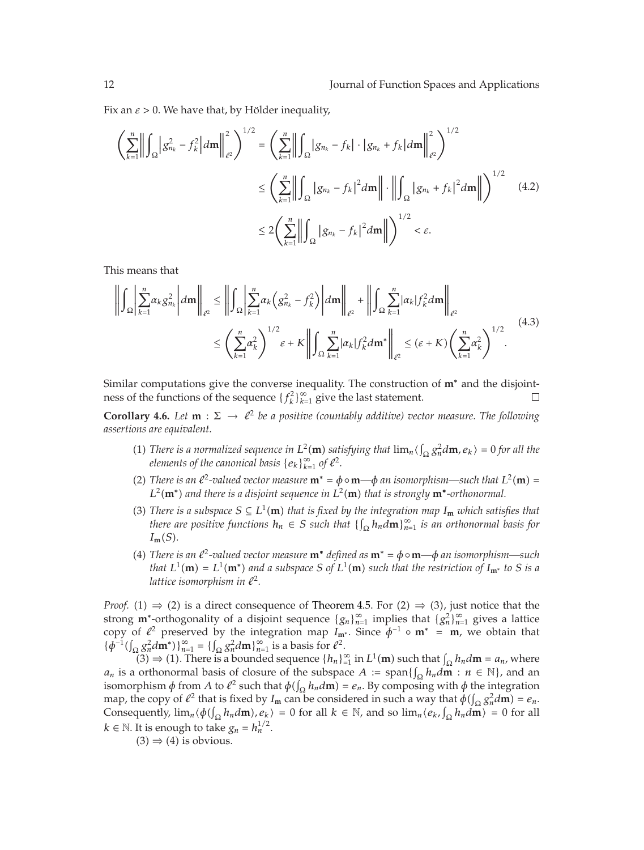Fix an  $\varepsilon > 0$ . We have that, by Hölder inequality,

$$
\left(\sum_{k=1}^{n} \left\| \int_{\Omega} |g_{n_{k}}^{2} - f_{k}^{2}| d\mathbf{m} \right\|_{\ell^{2}}^{2}\right)^{1/2} = \left(\sum_{k=1}^{n} \left\| \int_{\Omega} |g_{n_{k}} - f_{k}| \cdot |g_{n_{k}} + f_{k}| d\mathbf{m} \right\|_{\ell^{2}}^{2}\right)^{1/2}
$$
  

$$
\leq \left(\sum_{k=1}^{n} \left\| \int_{\Omega} |g_{n_{k}} - f_{k}|^{2} d\mathbf{m} \right\| \cdot \left\| \int_{\Omega} |g_{n_{k}} + f_{k}|^{2} d\mathbf{m} \right\| \right)^{1/2} \quad (4.2)
$$
  

$$
\leq 2 \left(\sum_{k=1}^{n} \left\| \int_{\Omega} |g_{n_{k}} - f_{k}|^{2} d\mathbf{m} \right\| \right)^{1/2} < \varepsilon.
$$

This means that

$$
\left\| \int_{\Omega} \left| \sum_{k=1}^{n} \alpha_k g_{n_k}^2 \right| d\mathbf{m} \right\|_{\ell^2} \leq \left\| \int_{\Omega} \left| \sum_{k=1}^{n} \alpha_k \left( g_{n_k}^2 - f_k^2 \right) \right| d\mathbf{m} \right\|_{\ell^2} + \left\| \int_{\Omega} \sum_{k=1}^{n} |\alpha_k| f_k^2 d\mathbf{m} \right\|_{\ell^2}
$$
\n
$$
\leq \left( \sum_{k=1}^{n} \alpha_k^2 \right)^{1/2} \varepsilon + K \left\| \int_{\Omega} \sum_{k=1}^{n} |\alpha_k| f_k^2 d\mathbf{m}^* \right\|_{\ell^2} \leq (\varepsilon + K) \left( \sum_{k=1}^{n} \alpha_k^2 \right)^{1/2} . \tag{4.3}
$$

Similar computations give the converse inequality. The construction of **m**<sup>∗</sup> and the disjoint-<br>ness of the functions of the sequence  $\{f^2\}_{i=1}^{\infty}$  give the last statement. ness of the functions of the sequence  ${f_k^2}_{k=1}^{\infty}$  give the last statement.

**Corollary 4.6.** *Let* **m** :  $\Sigma \to \ell^2$  *be a positive (countably additive) vector measure. The following* assertions are equivalent *assertions are equivalent.*

- (1) There is a normalized sequence in  $L^2(\mathbf{m})$  satisfying that  $\lim_{n} \langle \int_{\Omega} g_n^2 d\mathbf{m}, e_k \rangle = 0$  for all the elements of the canonical hasis  $\{g_n\}_{n=0}^{\infty}$  of  $e^2$ *elements of the canonical basis*  ${e_k}_{k=1}^{\infty}$  *of*  $e^2$ *.*
- (2) There is an  $\ell^2$ -valued vector measure  $\mathbf{m}^* = \phi \circ \mathbf{m} \phi$  an isomorphism—such that  $L^2(\mathbf{m}) = L^2(\mathbf{m}^*)$  and there is a disjoint sequence in  $L^2(\mathbf{m})$  that is strongly  $\mathbf{m}^*$ -orthonormal  $L^2(\mathbf{m}^*)$  *and there is a disjoint sequence in*  $L^2(\mathbf{m})$  *that is strongly*  $\mathbf{m}^*$ *-orthonormal.*
- (3) There is a subspace  $S \subseteq L^1(\mathbf{m})$  that is fixed by the integration map  $I_{\mathbf{m}}$  which satisfies that that  $\mathbf{a}$  the *second that*  $\mathbf{a}$  the  $\mathbf{a}$  m  $\infty$  is an orthonormal basis for *there are positive functions*  $h_n \in S$  *such that*  $\{ \int_{\Omega} h_n \, d\mathbf{m} \}_{n=1}^{\infty}$  *is an orthonormal basis for*  $I_{\Omega}$  $I_m(S)$ .
- (4) There is an  $\ell^2$ -valued vector measure  $\mathbf{m}^*$  defined as  $\mathbf{m}^* = \phi \circ \mathbf{m} \phi$  an isomorphism—such that  $I^1(\mathbf{m}) = I^1(\mathbf{m}^*)$  and a subspace  $S$  of  $I^1(\mathbf{m})$  such that the rectriction of  $I$  to  $S$  is a *that*  $L^1(\mathbf{m}) = L^1(\mathbf{m}^*)$  *and a subspace S of*  $L^1(\mathbf{m})$  *such that the restriction of*  $I_{\mathbf{m}^*}$  *to S is a*<br>lattice isomorphism in  $\ell^2$ *lattice isomorphism in*  $\ell^2$ *.*

*Proof.* (1)  $\Rightarrow$  (2) is a direct consequence of Theorem 4.5. For (2)  $\Rightarrow$  (3), just notice that the strong **m**<sup>∗</sup>-orthogonality of a disjoint sequence  ${g_n}_{n=1}^{\infty}$  implies that  ${g_n^2}_{n=1}^{\infty}$  gives a lattice copy of  $\ell^2$  preserved by the integration map *I*<sub>m\*</sub>. Since  $\phi^{-1} \circ m^* = m$ , we obtain that  $\ell \phi^{-1}(\ell^2 m^*)^{\infty} = \ell^2 m!^{\infty}$  is a basis for  $\ell^2$  $\{\phi^{-1}(\int_{\Omega} g_n^2 d\mathbf{m}^*)\}_{n=1}^{\infty} = \{\int_{\Omega} g_n^2 d\mathbf{m}\}_{n=1}^{\infty}$  is a basis for  $\ell^2$ .<br>
(3)  $\rightarrow$  (1) There is a bounded sequence  $\ell^1$ .

 $(3)$  ⇒ (1). There is a bounded sequence  $\{h_n\}_{n=1}^{\infty}$  in  $L^1(\mathbf{m})$  such that  $\int_{\Omega} h_n d\mathbf{m} = a_n$ , where orthonormal basis of closure of the subspace  $A := \text{span}\{[h, dm : n \in \mathbb{N}]\}$  and an *a<sub>n</sub>* is a orthonormal basis of closure of the subspace  $A := \text{span}\{\int_{\Omega} h_n d\mathbf{m} : n \in \mathbb{N}\}\)$ , and an isomorphism  $\phi$  from  $A$  to  $\theta^2$  such that  $\phi(f, h, dm) = e$ . By composing with  $\phi$  the integration isomorphism  $\phi$  from *A* to  $\ell^2$  such that  $\phi(\int_{\Omega} h_n d\mathbf{m}) = e_n$ . By composing with  $\phi$  the integration map the conv of  $\ell^2$  that is fixed by *L*, can be considered in such a way that  $\phi(\ell, \alpha^2 d\mathbf{m}) = e$ . map, the copy of  $l^2$  that is fixed by  $I_m$  can be considered in such a way that  $\phi(\int_{\Omega} g_n^2 d\mathbf{m}) = e_n$ .<br>Consequently  $\lim_{h \to 0} \phi(h \cdot h \cdot dm) = 0$  for all  $k \in \mathbb{N}$  and so  $\lim_{h \to \infty} \phi(h \cdot dm) = 0$  for all Consequently,  $\lim_{n \to \infty} \phi(\int_{\Omega} h_n d\mathbf{m})$ ,  $e_k$  = 0 for all  $k \in \mathbb{N}$ , and so  $\lim_{n \to \infty} \langle e_k, \int_{\Omega} h_n d\mathbf{m} \rangle = 0$  for all  $h \in \mathbb{N}$ . It is expected to take  $h_n = \frac{1}{2}$ *k* ∈  $\mathbb N$ . It is enough to take  $g_n = h_n^{1/2}$ .

$$
(3) \Rightarrow (4)
$$
 is obvious.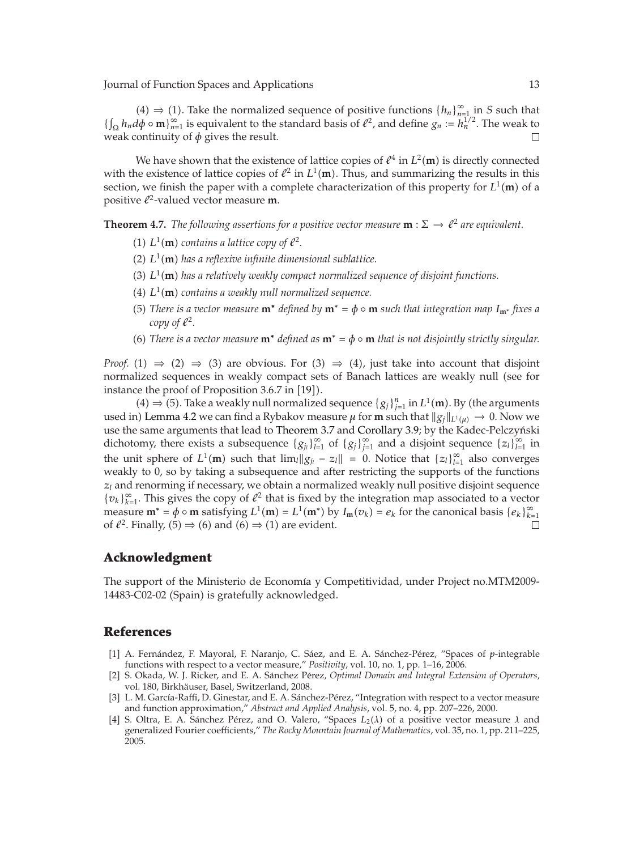(4) ⇒ (1). Take the normalized sequence of positive functions  ${h_n}_{n=1}^{\infty}$  in *S* such that  $\{\int_{\Omega} h_n d\phi \circ \mathbf{m}\}_{n=1}^{\infty}$  is equivalent to the standard basis of  $\ell^2$ , and define  $g_n := h_n^{1/2}$ . The weak to weak to weak continuity of *φ* gives the result.  $\Box$ 

We have shown that the existence of lattice copies of  $\ell^4$  in  $L^2(\mathbf{m})$  is directly connected<br>the oxistence of lattice copies of  $\ell^2$  in  $L^1(\mathbf{m})$ . Thus, and summarizing the results in this with the existence of lattice copies of  $\ell^2$  in  $L^1(\mathbf{m})$ . Thus, and summarizing the results in this exaction we finish the paper with a complete characterization of this property for  $L^1(\mathbf{m})$  of a section, we finish the paper with a complete characterization of this property for  $L^1(\mathbf{m})$  of a positive  $l^2$ -valued vector measure **m** positive  $l^2$ -valued vector measure **m**.

**Theorem 4.7.** *The following assertions for a positive vector measure*  $\mathbf{m}: \Sigma \to \ell^2$  *are equivalent.* 

- (1)  $L^1(\mathbf{m})$  contains a lattice copy of  $\ell^2$ .
- (2)  $L^1(\mathbf{m})$  has a reflexive infinite dimensional sublattice.
- (3)  $L^1(\mathbf{m})$  has a relatively weakly compact normalized sequence of disjoint functions.
- (4)  $L^1(\mathbf{m})$  contains a weakly null normalized sequence.
- (5) There is a vector measure  $\mathbf{m}^*$  defined by  $\mathbf{m}^* = \phi \circ \mathbf{m}$  such that integration map  $I_{\mathbf{m}^*}$  fixes a<br>compact  $\phi^2$ *copy of*  $\ell^2$ *.*
- (6) There is a vector measure  $\mathbf{m}^*$  defined as  $\mathbf{m}^* = \phi \circ \mathbf{m}$  that is not disjointly strictly singular.

*Proof.* (1)  $\Rightarrow$  (2)  $\Rightarrow$  (3) are obvious. For (3)  $\Rightarrow$  (4), just take into account that disjoint normalized sequences in weakly compact sets of Banach lattices are weakly null (see for instance the proof of Proposition  $3.6.7$  in [19]).

(4) ⇒ (5). Take a weakly null normalized sequence  $\{g_j\}_{j=1}^n$  in  $L^1(\mathbf{m})$ . By (the arguments)  $\lambda$  1 amma 4.2 we can find a Bybakov measure *u* for **m** such that  $||g_i||_{\mathcal{L}^1(\mathcal{L}^1)} \to 0$ . Now we used in) Lemma 4.2 we can find a Rybakov measure  $\mu$  for **m** such that  $||g_j||_{L^1(\mu)} \to 0$ . Now we use the same arguments that lead to Theorem 3.7 and Corollary 3.9; by the Kadoc-Polczyński use the same arguments that lead to Theorem 3.7 and Corollary 3.9; by the Kadec-Pelczyński dichotomy, there exists a subsequence  ${g_{j_l}}_{l=1}^{\infty}$  of  ${g_j}_{j=1}^{\infty}$  and a disjoint sequence  ${z_l}_{l=1}^{\infty}$  in the unit sphere of  $L^1(\mathbf{m})$  such that  $\lim_{l} \|g_{j_l} - z_l\| = 0$ . Notice that  $\{z_l\}_{l=1}^{\infty}$  also converges weakly to 0, so by taking a subsequence and after restricting the supports of the functions  $z_l$  and renorming if necessary, we obtain a normalized weakly null positive disjoint sequence { $v_k$ }<sup>∞</sup><sub>*k*-1</sub>. This gives the copy of  $\ell^2$  that is fixed by the integration map associated to a vector measure  $\mathbf{m}^* = \phi \circ \mathbf{m}$  satisfying  $L^1(\mathbf{m}) = L^1(\mathbf{m}^*)$  by  $I_\mathbf{m}(v_k) = e_k$  for the canonical basis  $\{e_k\}_{k=1}^\infty$ <br>of  $e^{2k}$  Finally  $(5) \rightarrow (6)$  and  $(6) \rightarrow (1)$  are ovident of  $\ell^2$ . Finally, (5)  $\Rightarrow$  (6) and (6)  $\Rightarrow$  (1) are evident.

#### **Acknowledgment**

The support of the Ministerio de Economía y Competitividad, under Project no.MTM2009-14483-C02-02 (Spain) is gratefully acknowledged.

#### **References**

- [1] A. Fernández, F. Mayoral, F. Naranjo, C. Sáez, and E. A. Sánchez-Pérez, "Spaces of p-integrable functions with respect to a vector measure," *Positivity*, vol. 10, no. 1, pp. 1–16, 2006.
- [2] S. Okada, W. J. Ricker, and E. A. Sánchez Pérez, *Optimal Domain and Integral Extension of Operators*, vol. 180, Birkhäuser, Basel, Switzerland, 2008.
- [3] L. M. García-Raffi, D. Ginestar, and E. A. Sánchez-Pérez, "Integration with respect to a vector measure and function approximation," *Abstract and Applied Analysis*, vol. 5, no. 4, pp. 207–226, 2000.
- [4] S. Oltra, E. A. Sánchez Pérez, and O. Valero, "Spaces  $L_2(\lambda)$  of a positive vector measure  $\lambda$  and generalized Fourier coefficients," *The Rocky Mountain Journal of Mathematics*, vol. 35, no. 1, pp. 211–225, 2005.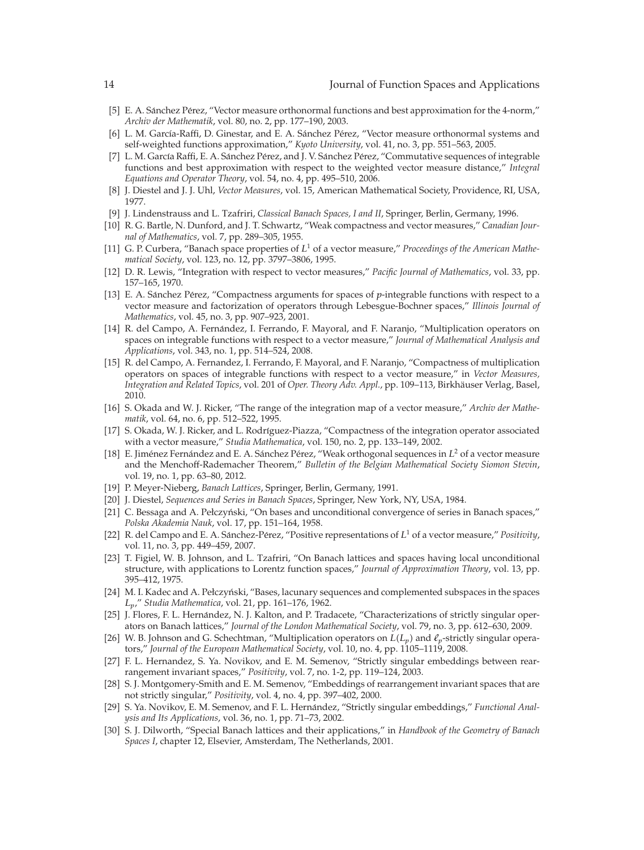- [5] E. A. Sánchez Pérez, "Vector measure orthonormal functions and best approximation for the 4-norm," *Archiv der Mathematik*, vol. 80, no. 2, pp. 177–190, 2003.
- [6] L. M. García-Raffi, D. Ginestar, and E. A. Sánchez Pérez, "Vector measure orthonormal systems and self-weighted functions approximation," *Kyoto University*, vol. 41, no. 3, pp. 551–563, 2005.
- [7] L. M. García Raffi, E. A. Sánchez Pérez, and J. V. Sánchez Pérez, "Commutative sequences of integrable functions and best approximation with respect to the weighted vector measure distance," *Integral Equations and Operator Theory*, vol. 54, no. 4, pp. 495–510, 2006.
- 8 J. Diestel and J. J. Uhl, *Vector Measures*, vol. 15, American Mathematical Society, Providence, RI, USA, 1977.
- 9 J. Lindenstrauss and L. Tzafriri, *Classical Banach Spaces, I and II*, Springer, Berlin, Germany, 1996.
- [10] R. G. Bartle, N. Dunford, and J. T. Schwartz, "Weak compactness and vector measures," *Canadian Journal of Mathematics*, vol. 7, pp. 289–305, 1955.
- 11 G. P. Curbera, "Banach space properties of *L*<sup>1</sup> of a vector measure," *Proceedings of the American Mathematical Society*, vol. 123, no. 12, pp. 3797–3806, 1995.
- 12 D. R. Lewis, "Integration with respect to vector measures," *Pacific Journal of Mathematics*, vol. 33, pp. 157–165, 1970.
- [13] E. A. Sánchez Pérez, "Compactness arguments for spaces of p-integrable functions with respect to a vector measure and factorization of operators through Lebesgue-Bochner spaces," *Illinois Journal of Mathematics*, vol. 45, no. 3, pp. 907–923, 2001.
- [14] R. del Campo, A. Fernández, I. Ferrando, F. Mayoral, and F. Naranjo, "Multiplication operators on spaces on integrable functions with respect to a vector measure," *Journal of Mathematical Analysis and Applications*, vol. 343, no. 1, pp. 514–524, 2008.
- [15] R. del Campo, A. Fernandez, I. Ferrando, F. Mayoral, and F. Naranjo, "Compactness of multiplication operators on spaces of integrable functions with respect to a vector measure," in *Vector Measures, Integration and Related Topics, vol. 201 of Oper. Theory Adv. Appl., pp. 109–113, Birkhäuser Verlag, Basel,* 2010.
- 16 S. Okada and W. J. Ricker, "The range of the integration map of a vector measure," *Archiv der Mathematik*, vol. 64, no. 6, pp. 512–522, 1995.
- [17] S. Okada, W. J. Ricker, and L. Rodríguez-Piazza, "Compactness of the integration operator associated with a vector measure," *Studia Mathematica*, vol. 150, no. 2, pp. 133–149, 2002.
- [18] E. Jiménez Fernández and E. A. Sánchez Pérez, "Weak orthogonal sequences in L<sup>2</sup> of a vector measure and the Menchoff-Rademacher Theorem," *Bulletin of the Belgian Mathematical Society Siomon Stevin*, vol. 19, no. 1, pp. 63–80, 2012.
- 19 P. Meyer-Nieberg, *Banach Lattices*, Springer, Berlin, Germany, 1991.
- 20 J. Diestel, *Sequences and Series in Banach Spaces*, Springer, New York, NY, USA, 1984.
- [21] C. Bessaga and A. Pełczyński, "On bases and unconditional convergence of series in Banach spaces," *Polska Akademia Nauk*, vol. 17, pp. 151–164, 1958.
- [22] R. del Campo and E. A. Sánchez-Pérez, "Positive representations of  $L^1$  of a vector measure," *Positivity*, vol. 11, no. 3, pp. 449–459, 2007.
- [23] T. Figiel, W. B. Johnson, and L. Tzafriri, "On Banach lattices and spaces having local unconditional structure, with applications to Lorentz function spaces," *Journal of Approximation Theory*, vol. 13, pp. 395–412, 1975.
- [24] M. I. Kadec and A. Pełczyński, "Bases, lacunary sequences and complemented subspaces in the spaces *Lp*," *Studia Mathematica*, vol. 21, pp. 161–176, 1962.
- [25] J. Flores, F. L. Hernández, N. J. Kalton, and P. Tradacete, "Characterizations of strictly singular operators on Banach lattices," *Journal of the London Mathematical Society*, vol. 79, no. 3, pp. 612–630, 2009.
- [26] W. B. Johnson and G. Schechtman, "Multiplication operators on  $L(L_p)$  and  $\ell_p$ -strictly singular operators," *Journal of the European Mathematical Society*, vol. 10, no. 4, pp. 1105–1119, 2008.
- 27 F. L. Hernandez, S. Ya. Novikov, and E. M. Semenov, "Strictly singular embeddings between rearrangement invariant spaces," *Positivity*, vol. 7, no. 1-2, pp. 119–124, 2003.
- 28 S. J. Montgomery-Smith and E. M. Semenov, "Embeddings of rearrangement invariant spaces that are not strictly singular," *Positivity*, vol. 4, no. 4, pp. 397–402, 2000.
- [29] S. Ya. Novikov, E. M. Semenov, and F. L. Hernández, "Strictly singular embeddings," *Functional Analysis and Its Applications*, vol. 36, no. 1, pp. 71–73, 2002.
- 30 S. J. Dilworth, "Special Banach lattices and their applications," in *Handbook of the Geometry of Banach Spaces I*, chapter 12, Elsevier, Amsterdam, The Netherlands, 2001.